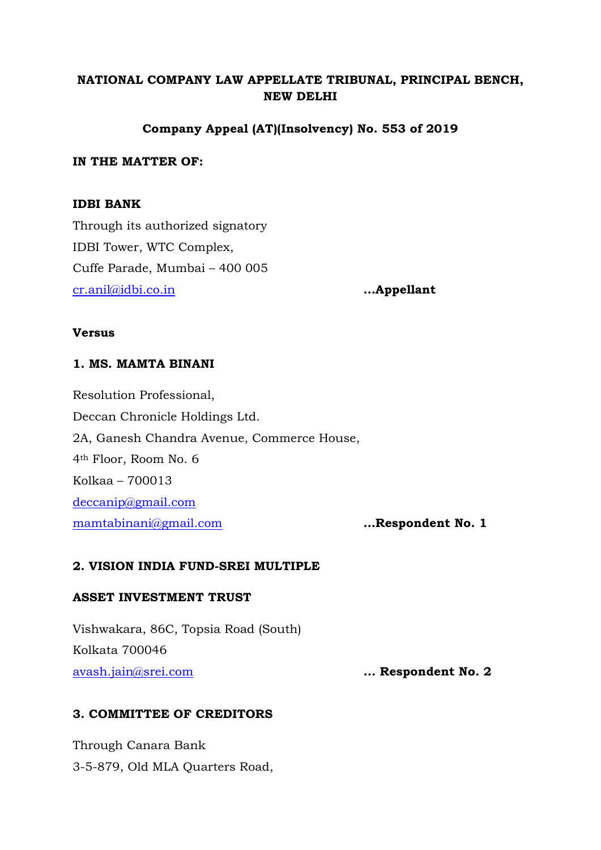# **NATIONAL COMPANY LAW APPELLATE TRIBUNAL, PRINCIPAL BENCH, NEW DELHI**

## **Company Appeal (AT)(Insolvency) No. 553 of 2019**

## **IN THE MATTER OF:**

## **IDBI BANK**

Through its authorized signatory IDBI Tower, WTC Complex, Cuffe Parade, Mumbai – 400 005 [cr.anil@idbi.co.in](mailto:cr.anil@idbi.co.in) **…Appellant** 

#### **Versus**

### **1. MS. MAMTA BINANI**

Resolution Professional, Deccan Chronicle Holdings Ltd. 2A, Ganesh Chandra Avenue, Commerce House, 4th Floor, Room No. 6 Kolkaa – 700013 [deccanip@gmail.com](mailto:deccanip@gmail.com) [mamtabinani@gmail.com](mailto:mamtabinani@gmail.com) **…Respondent No. 1**

## **2. VISION INDIA FUND-SREI MULTIPLE**

### **ASSET INVESTMENT TRUST**

Vishwakara, 86C, Topsia Road (South) Kolkata 700046 [avash.jain@srei.com](mailto:avash.jain@srei.com) **... Respondent No. 2**

## **3. COMMITTEE OF CREDITORS**

Through Canara Bank 3-5-879, Old MLA Quarters Road,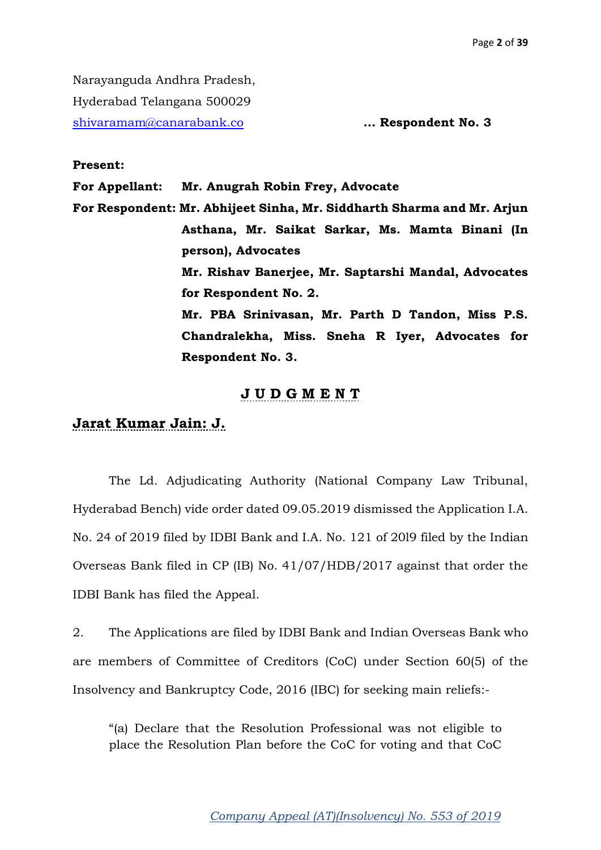Narayanguda Andhra Pradesh, Hyderabad Telangana 500029 [shivaramam@canarabank.co](mailto:shivaramam@canarabank.co) **... Respondent No. 3**

#### **Present:**

**For Appellant: Mr. Anugrah Robin Frey, Advocate** 

**For Respondent: Mr. Abhijeet Sinha, Mr. Siddharth Sharma and Mr. Arjun Asthana, Mr. Saikat Sarkar, Ms. Mamta Binani (In person), Advocates Mr. Rishav Banerjee, Mr. Saptarshi Mandal, Advocates for Respondent No. 2. Mr. PBA Srinivasan, Mr. Parth D Tandon, Miss P.S. Chandralekha, Miss. Sneha R Iyer, Advocates for Respondent No. 3.** 

## **J U D G M E N T**

# **Jarat Kumar Jain: J.**

The Ld. Adjudicating Authority (National Company Law Tribunal, Hyderabad Bench) vide order dated 09.05.2019 dismissed the Application I.A. No. 24 of 2019 filed by IDBI Bank and I.A. No. 121 of 20l9 filed by the Indian Overseas Bank filed in CP (IB) No. 41/07/HDB/2017 against that order the IDBI Bank has filed the Appeal.

2. The Applications are filed by IDBI Bank and Indian Overseas Bank who are members of Committee of Creditors (CoC) under Section 60(5) of the Insolvency and Bankruptcy Code, 2016 (IBC) for seeking main reliefs:-

"(a) Declare that the Resolution Professional was not eligible to place the Resolution Plan before the CoC for voting and that CoC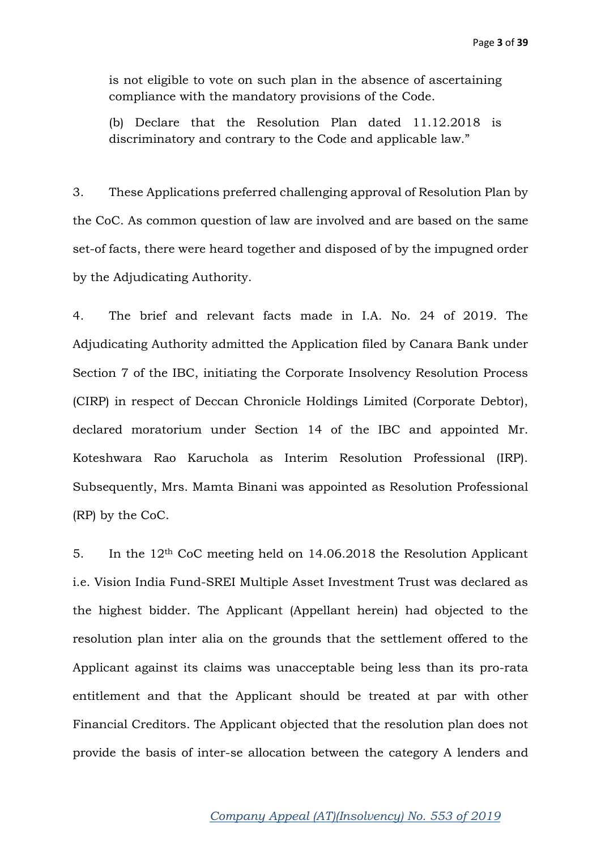is not eligible to vote on such plan in the absence of ascertaining compliance with the mandatory provisions of the Code.

(b) Declare that the Resolution Plan dated 11.12.2018 is discriminatory and contrary to the Code and applicable law."

3. These Applications preferred challenging approval of Resolution Plan by the CoC. As common question of law are involved and are based on the same set-of facts, there were heard together and disposed of by the impugned order by the Adjudicating Authority.

4. The brief and relevant facts made in I.A. No. 24 of 2019. The Adjudicating Authority admitted the Application filed by Canara Bank under Section 7 of the IBC, initiating the Corporate Insolvency Resolution Process (CIRP) in respect of Deccan Chronicle Holdings Limited (Corporate Debtor), declared moratorium under Section 14 of the IBC and appointed Mr. Koteshwara Rao Karuchola as Interim Resolution Professional (IRP). Subsequently, Mrs. Mamta Binani was appointed as Resolution Professional (RP) by the CoC.

5. In the 12th CoC meeting held on 14.06.2018 the Resolution Applicant i.e. Vision India Fund-SREI Multiple Asset Investment Trust was declared as the highest bidder. The Applicant (Appellant herein) had objected to the resolution plan inter alia on the grounds that the settlement offered to the Applicant against its claims was unacceptable being less than its pro-rata entitlement and that the Applicant should be treated at par with other Financial Creditors. The Applicant objected that the resolution plan does not provide the basis of inter-se allocation between the category A lenders and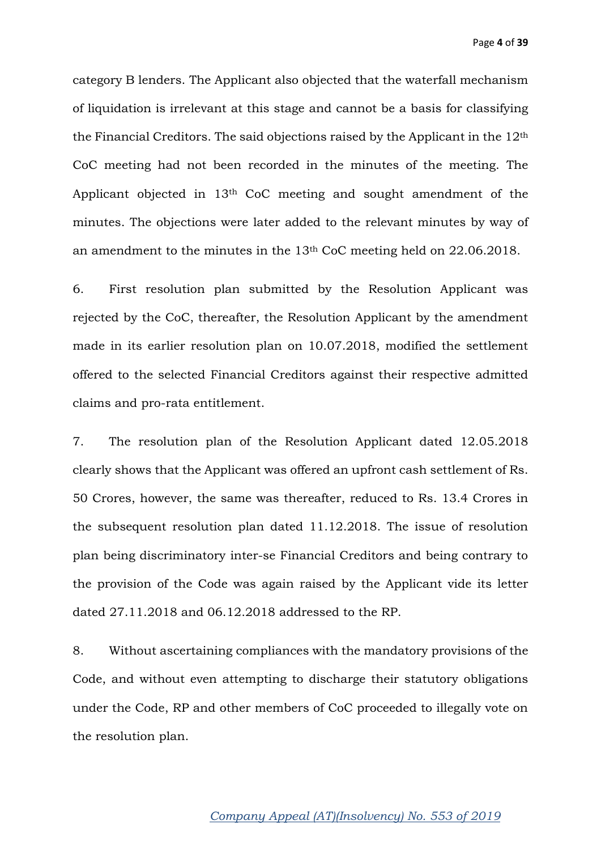Page **4** of **39**

category B lenders. The Applicant also objected that the waterfall mechanism of liquidation is irrelevant at this stage and cannot be a basis for classifying the Financial Creditors. The said objections raised by the Applicant in the 12th CoC meeting had not been recorded in the minutes of the meeting. The Applicant objected in 13th CoC meeting and sought amendment of the minutes. The objections were later added to the relevant minutes by way of an amendment to the minutes in the 13th CoC meeting held on 22.06.2018.

6. First resolution plan submitted by the Resolution Applicant was rejected by the CoC, thereafter, the Resolution Applicant by the amendment made in its earlier resolution plan on 10.07.2018, modified the settlement offered to the selected Financial Creditors against their respective admitted claims and pro-rata entitlement.

7. The resolution plan of the Resolution Applicant dated 12.05.2018 clearly shows that the Applicant was offered an upfront cash settlement of Rs. 50 Crores, however, the same was thereafter, reduced to Rs. 13.4 Crores in the subsequent resolution plan dated 11.12.2018. The issue of resolution plan being discriminatory inter-se Financial Creditors and being contrary to the provision of the Code was again raised by the Applicant vide its letter dated 27.11.2018 and 06.12.2018 addressed to the RP.

8. Without ascertaining compliances with the mandatory provisions of the Code, and without even attempting to discharge their statutory obligations under the Code, RP and other members of CoC proceeded to illegally vote on the resolution plan.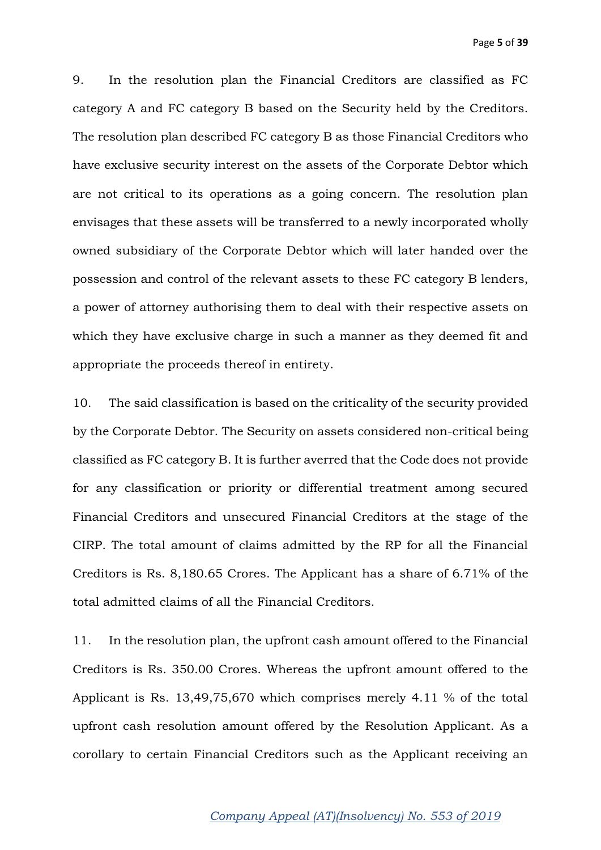9. In the resolution plan the Financial Creditors are classified as FC category A and FC category B based on the Security held by the Creditors. The resolution plan described FC category B as those Financial Creditors who have exclusive security interest on the assets of the Corporate Debtor which are not critical to its operations as a going concern. The resolution plan envisages that these assets will be transferred to a newly incorporated wholly owned subsidiary of the Corporate Debtor which will later handed over the possession and control of the relevant assets to these FC category B lenders, a power of attorney authorising them to deal with their respective assets on which they have exclusive charge in such a manner as they deemed fit and appropriate the proceeds thereof in entirety.

10. The said classification is based on the criticality of the security provided by the Corporate Debtor. The Security on assets considered non-critical being classified as FC category B. It is further averred that the Code does not provide for any classification or priority or differential treatment among secured Financial Creditors and unsecured Financial Creditors at the stage of the CIRP. The total amount of claims admitted by the RP for all the Financial Creditors is Rs. 8,180.65 Crores. The Applicant has a share of 6.71% of the total admitted claims of all the Financial Creditors.

11. In the resolution plan, the upfront cash amount offered to the Financial Creditors is Rs. 350.00 Crores. Whereas the upfront amount offered to the Applicant is Rs. 13,49,75,670 which comprises merely 4.11 % of the total upfront cash resolution amount offered by the Resolution Applicant. As a corollary to certain Financial Creditors such as the Applicant receiving an

### *Company Appeal (AT)(Insolvency) No. 553 of 2019*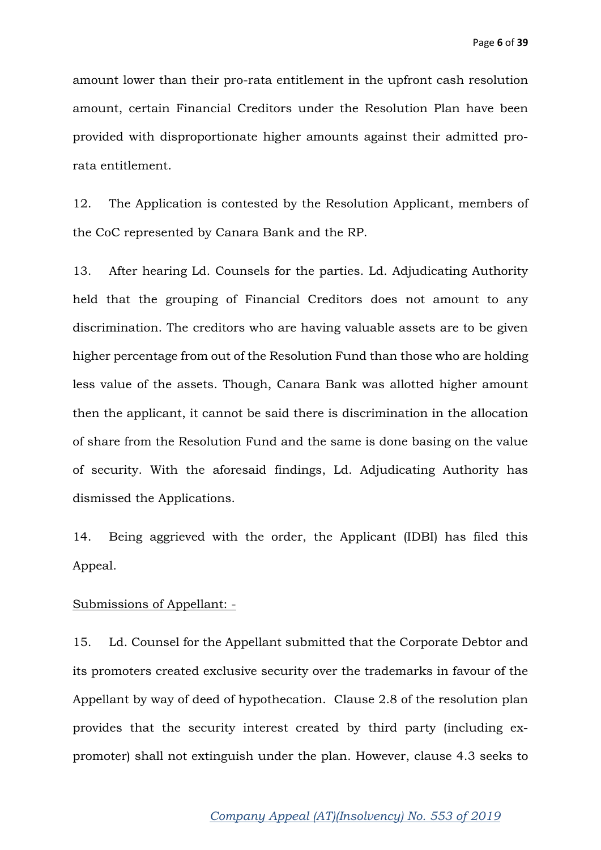amount lower than their pro-rata entitlement in the upfront cash resolution amount, certain Financial Creditors under the Resolution Plan have been provided with disproportionate higher amounts against their admitted prorata entitlement.

12. The Application is contested by the Resolution Applicant, members of the CoC represented by Canara Bank and the RP.

13. After hearing Ld. Counsels for the parties. Ld. Adjudicating Authority held that the grouping of Financial Creditors does not amount to any discrimination. The creditors who are having valuable assets are to be given higher percentage from out of the Resolution Fund than those who are holding less value of the assets. Though, Canara Bank was allotted higher amount then the applicant, it cannot be said there is discrimination in the allocation of share from the Resolution Fund and the same is done basing on the value of security. With the aforesaid findings, Ld. Adjudicating Authority has dismissed the Applications.

14. Being aggrieved with the order, the Applicant (IDBI) has filed this Appeal.

#### Submissions of Appellant: -

15. Ld. Counsel for the Appellant submitted that the Corporate Debtor and its promoters created exclusive security over the trademarks in favour of the Appellant by way of deed of hypothecation. Clause 2.8 of the resolution plan provides that the security interest created by third party (including expromoter) shall not extinguish under the plan. However, clause 4.3 seeks to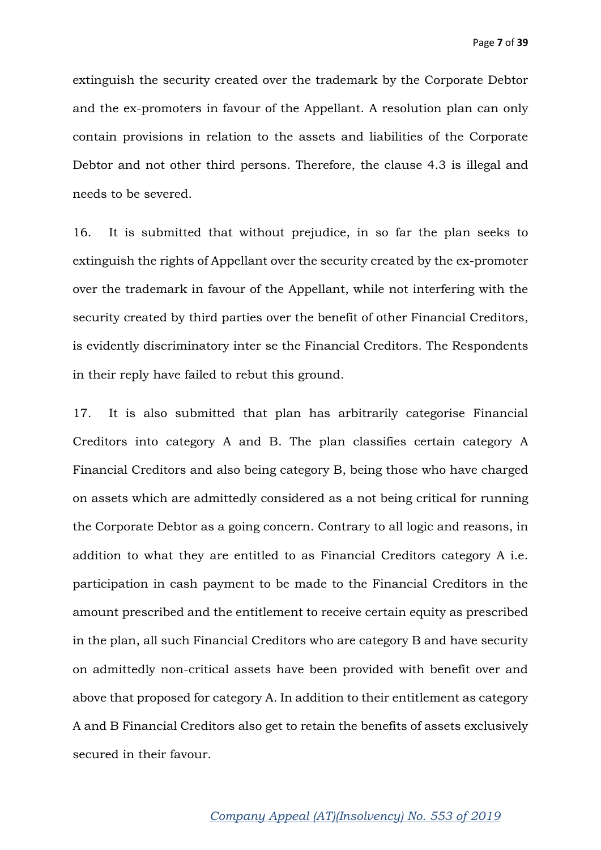extinguish the security created over the trademark by the Corporate Debtor and the ex-promoters in favour of the Appellant. A resolution plan can only contain provisions in relation to the assets and liabilities of the Corporate Debtor and not other third persons. Therefore, the clause 4.3 is illegal and needs to be severed.

16. It is submitted that without prejudice, in so far the plan seeks to extinguish the rights of Appellant over the security created by the ex-promoter over the trademark in favour of the Appellant, while not interfering with the security created by third parties over the benefit of other Financial Creditors, is evidently discriminatory inter se the Financial Creditors. The Respondents in their reply have failed to rebut this ground.

17. It is also submitted that plan has arbitrarily categorise Financial Creditors into category A and B. The plan classifies certain category A Financial Creditors and also being category B, being those who have charged on assets which are admittedly considered as a not being critical for running the Corporate Debtor as a going concern. Contrary to all logic and reasons, in addition to what they are entitled to as Financial Creditors category A i.e. participation in cash payment to be made to the Financial Creditors in the amount prescribed and the entitlement to receive certain equity as prescribed in the plan, all such Financial Creditors who are category B and have security on admittedly non-critical assets have been provided with benefit over and above that proposed for category A. In addition to their entitlement as category A and B Financial Creditors also get to retain the benefits of assets exclusively secured in their favour.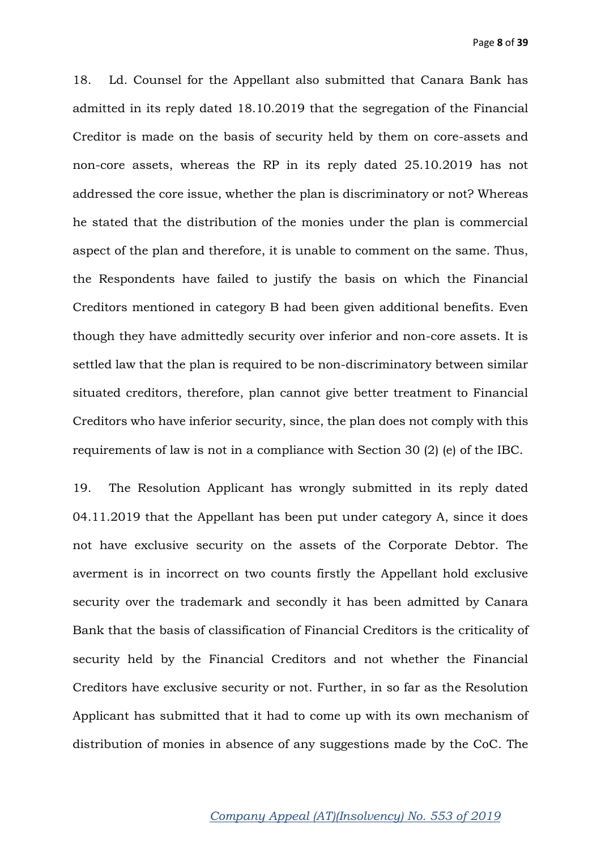18. Ld. Counsel for the Appellant also submitted that Canara Bank has admitted in its reply dated 18.10.2019 that the segregation of the Financial Creditor is made on the basis of security held by them on core-assets and non-core assets, whereas the RP in its reply dated 25.10.2019 has not addressed the core issue, whether the plan is discriminatory or not? Whereas he stated that the distribution of the monies under the plan is commercial aspect of the plan and therefore, it is unable to comment on the same. Thus, the Respondents have failed to justify the basis on which the Financial Creditors mentioned in category B had been given additional benefits. Even though they have admittedly security over inferior and non-core assets. It is settled law that the plan is required to be non-discriminatory between similar situated creditors, therefore, plan cannot give better treatment to Financial Creditors who have inferior security, since, the plan does not comply with this requirements of law is not in a compliance with Section 30 (2) (e) of the IBC.

19. The Resolution Applicant has wrongly submitted in its reply dated 04.11.2019 that the Appellant has been put under category A, since it does not have exclusive security on the assets of the Corporate Debtor. The averment is in incorrect on two counts firstly the Appellant hold exclusive security over the trademark and secondly it has been admitted by Canara Bank that the basis of classification of Financial Creditors is the criticality of security held by the Financial Creditors and not whether the Financial Creditors have exclusive security or not. Further, in so far as the Resolution Applicant has submitted that it had to come up with its own mechanism of distribution of monies in absence of any suggestions made by the CoC. The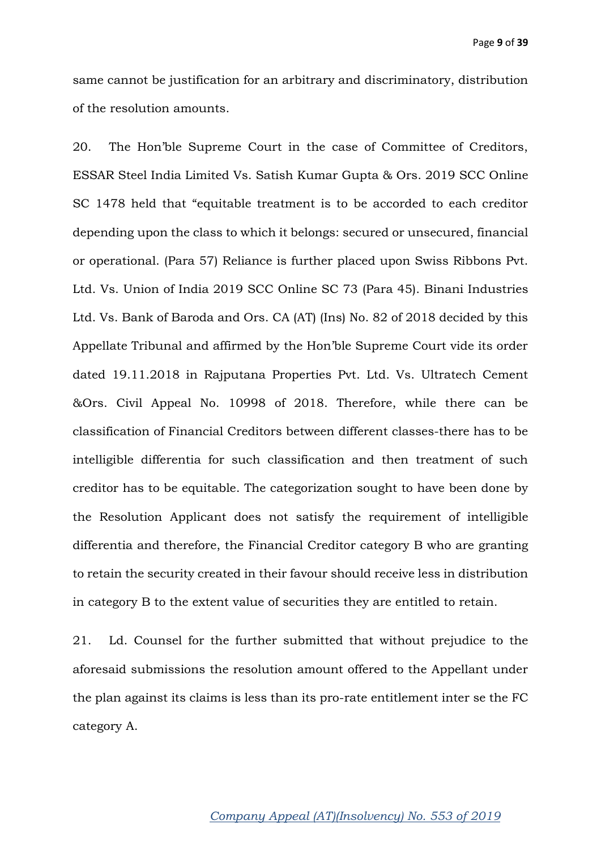same cannot be justification for an arbitrary and discriminatory, distribution of the resolution amounts.

20. The Hon'ble Supreme Court in the case of Committee of Creditors, ESSAR Steel India Limited Vs. Satish Kumar Gupta & Ors. 2019 SCC Online SC 1478 held that "equitable treatment is to be accorded to each creditor depending upon the class to which it belongs: secured or unsecured, financial or operational. (Para 57) Reliance is further placed upon Swiss Ribbons Pvt. Ltd. Vs. Union of India 2019 SCC Online SC 73 (Para 45). Binani Industries Ltd. Vs. Bank of Baroda and Ors. CA (AT) (Ins) No. 82 of 2018 decided by this Appellate Tribunal and affirmed by the Hon'ble Supreme Court vide its order dated 19.11.2018 in Rajputana Properties Pvt. Ltd. Vs. Ultratech Cement &Ors. Civil Appeal No. 10998 of 2018. Therefore, while there can be classification of Financial Creditors between different classes-there has to be intelligible differentia for such classification and then treatment of such creditor has to be equitable. The categorization sought to have been done by the Resolution Applicant does not satisfy the requirement of intelligible differentia and therefore, the Financial Creditor category B who are granting to retain the security created in their favour should receive less in distribution in category B to the extent value of securities they are entitled to retain.

21. Ld. Counsel for the further submitted that without prejudice to the aforesaid submissions the resolution amount offered to the Appellant under the plan against its claims is less than its pro-rate entitlement inter se the FC category A.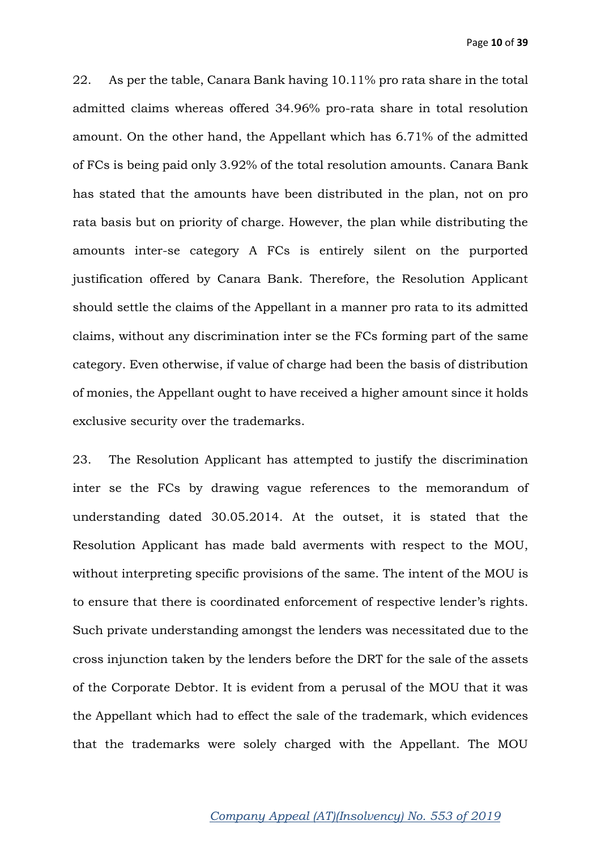22. As per the table, Canara Bank having 10.11% pro rata share in the total admitted claims whereas offered 34.96% pro-rata share in total resolution amount. On the other hand, the Appellant which has 6.71% of the admitted of FCs is being paid only 3.92% of the total resolution amounts. Canara Bank has stated that the amounts have been distributed in the plan, not on pro rata basis but on priority of charge. However, the plan while distributing the amounts inter-se category A FCs is entirely silent on the purported justification offered by Canara Bank. Therefore, the Resolution Applicant should settle the claims of the Appellant in a manner pro rata to its admitted claims, without any discrimination inter se the FCs forming part of the same category. Even otherwise, if value of charge had been the basis of distribution of monies, the Appellant ought to have received a higher amount since it holds exclusive security over the trademarks.

23. The Resolution Applicant has attempted to justify the discrimination inter se the FCs by drawing vague references to the memorandum of understanding dated 30.05.2014. At the outset, it is stated that the Resolution Applicant has made bald averments with respect to the MOU, without interpreting specific provisions of the same. The intent of the MOU is to ensure that there is coordinated enforcement of respective lender's rights. Such private understanding amongst the lenders was necessitated due to the cross injunction taken by the lenders before the DRT for the sale of the assets of the Corporate Debtor. It is evident from a perusal of the MOU that it was the Appellant which had to effect the sale of the trademark, which evidences that the trademarks were solely charged with the Appellant. The MOU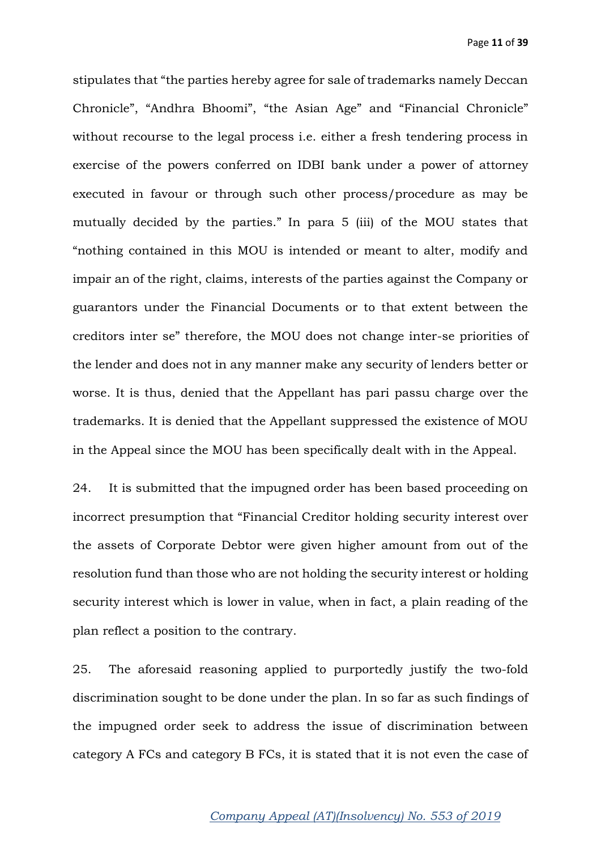stipulates that "the parties hereby agree for sale of trademarks namely Deccan Chronicle", "Andhra Bhoomi", "the Asian Age" and "Financial Chronicle" without recourse to the legal process i.e. either a fresh tendering process in exercise of the powers conferred on IDBI bank under a power of attorney executed in favour or through such other process/procedure as may be mutually decided by the parties." In para 5 (iii) of the MOU states that "nothing contained in this MOU is intended or meant to alter, modify and impair an of the right, claims, interests of the parties against the Company or guarantors under the Financial Documents or to that extent between the creditors inter se" therefore, the MOU does not change inter-se priorities of the lender and does not in any manner make any security of lenders better or worse. It is thus, denied that the Appellant has pari passu charge over the trademarks. It is denied that the Appellant suppressed the existence of MOU in the Appeal since the MOU has been specifically dealt with in the Appeal.

24. It is submitted that the impugned order has been based proceeding on incorrect presumption that "Financial Creditor holding security interest over the assets of Corporate Debtor were given higher amount from out of the resolution fund than those who are not holding the security interest or holding security interest which is lower in value, when in fact, a plain reading of the plan reflect a position to the contrary.

25. The aforesaid reasoning applied to purportedly justify the two-fold discrimination sought to be done under the plan. In so far as such findings of the impugned order seek to address the issue of discrimination between category A FCs and category B FCs, it is stated that it is not even the case of

### *Company Appeal (AT)(Insolvency) No. 553 of 2019*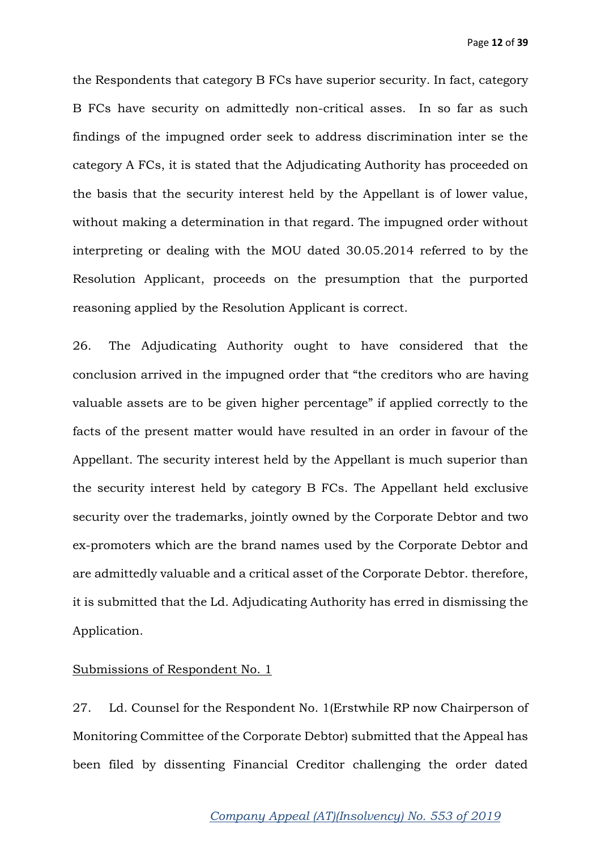the Respondents that category B FCs have superior security. In fact, category B FCs have security on admittedly non-critical asses. In so far as such findings of the impugned order seek to address discrimination inter se the category A FCs, it is stated that the Adjudicating Authority has proceeded on the basis that the security interest held by the Appellant is of lower value, without making a determination in that regard. The impugned order without interpreting or dealing with the MOU dated 30.05.2014 referred to by the Resolution Applicant, proceeds on the presumption that the purported reasoning applied by the Resolution Applicant is correct.

26. The Adjudicating Authority ought to have considered that the conclusion arrived in the impugned order that "the creditors who are having valuable assets are to be given higher percentage" if applied correctly to the facts of the present matter would have resulted in an order in favour of the Appellant. The security interest held by the Appellant is much superior than the security interest held by category B FCs. The Appellant held exclusive security over the trademarks, jointly owned by the Corporate Debtor and two ex-promoters which are the brand names used by the Corporate Debtor and are admittedly valuable and a critical asset of the Corporate Debtor. therefore, it is submitted that the Ld. Adjudicating Authority has erred in dismissing the Application.

## Submissions of Respondent No. 1

27. Ld. Counsel for the Respondent No. 1(Erstwhile RP now Chairperson of Monitoring Committee of the Corporate Debtor) submitted that the Appeal has been filed by dissenting Financial Creditor challenging the order dated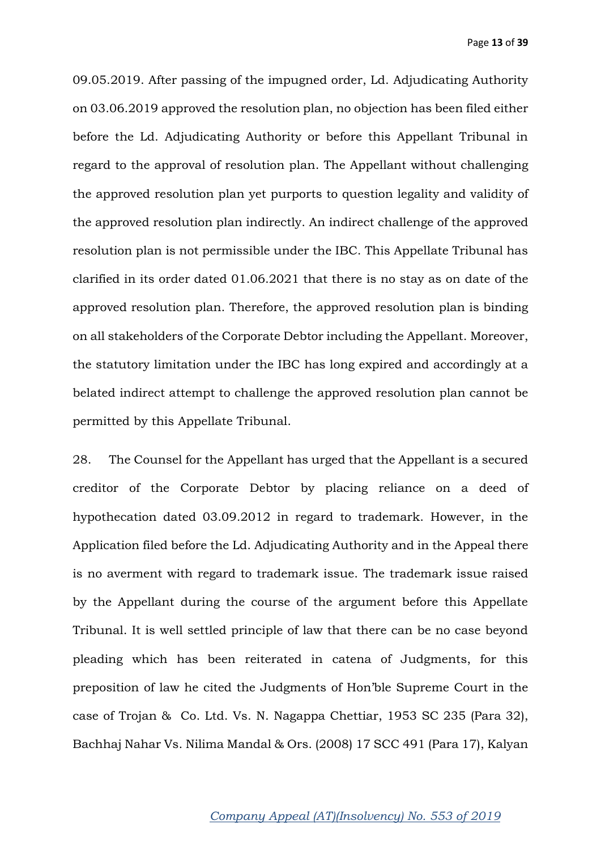09.05.2019. After passing of the impugned order, Ld. Adjudicating Authority on 03.06.2019 approved the resolution plan, no objection has been filed either before the Ld. Adjudicating Authority or before this Appellant Tribunal in regard to the approval of resolution plan. The Appellant without challenging the approved resolution plan yet purports to question legality and validity of the approved resolution plan indirectly. An indirect challenge of the approved resolution plan is not permissible under the IBC. This Appellate Tribunal has clarified in its order dated 01.06.2021 that there is no stay as on date of the approved resolution plan. Therefore, the approved resolution plan is binding on all stakeholders of the Corporate Debtor including the Appellant. Moreover, the statutory limitation under the IBC has long expired and accordingly at a belated indirect attempt to challenge the approved resolution plan cannot be permitted by this Appellate Tribunal.

28. The Counsel for the Appellant has urged that the Appellant is a secured creditor of the Corporate Debtor by placing reliance on a deed of hypothecation dated 03.09.2012 in regard to trademark. However, in the Application filed before the Ld. Adjudicating Authority and in the Appeal there is no averment with regard to trademark issue. The trademark issue raised by the Appellant during the course of the argument before this Appellate Tribunal. It is well settled principle of law that there can be no case beyond pleading which has been reiterated in catena of Judgments, for this preposition of law he cited the Judgments of Hon'ble Supreme Court in the case of Trojan & Co. Ltd. Vs. N. Nagappa Chettiar, 1953 SC 235 (Para 32), Bachhaj Nahar Vs. Nilima Mandal & Ors. (2008) 17 SCC 491 (Para 17), Kalyan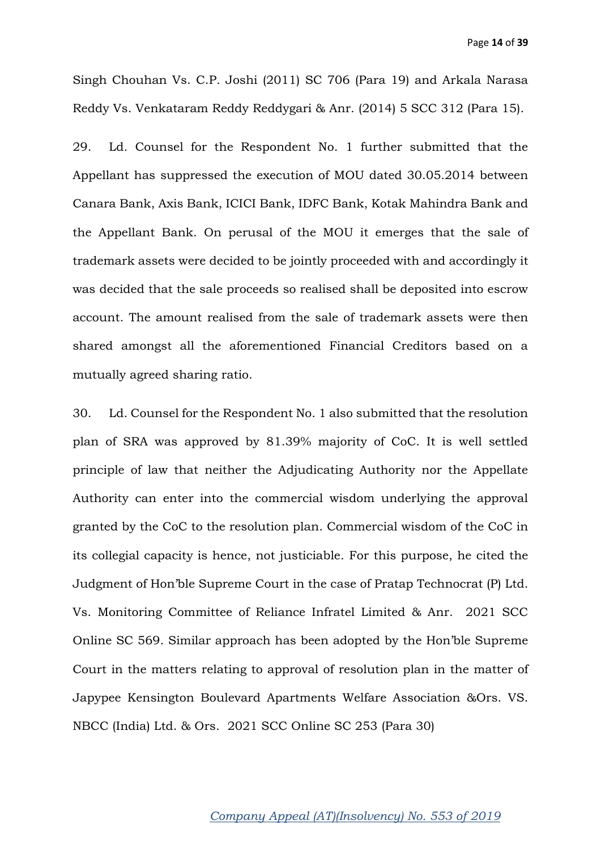Singh Chouhan Vs. C.P. Joshi (2011) SC 706 (Para 19) and Arkala Narasa Reddy Vs. Venkataram Reddy Reddygari & Anr. (2014) 5 SCC 312 (Para 15).

29. Ld. Counsel for the Respondent No. 1 further submitted that the Appellant has suppressed the execution of MOU dated 30.05.2014 between Canara Bank, Axis Bank, ICICI Bank, IDFC Bank, Kotak Mahindra Bank and the Appellant Bank. On perusal of the MOU it emerges that the sale of trademark assets were decided to be jointly proceeded with and accordingly it was decided that the sale proceeds so realised shall be deposited into escrow account. The amount realised from the sale of trademark assets were then shared amongst all the aforementioned Financial Creditors based on a mutually agreed sharing ratio.

30. Ld. Counsel for the Respondent No. 1 also submitted that the resolution plan of SRA was approved by 81.39% majority of CoC. It is well settled principle of law that neither the Adjudicating Authority nor the Appellate Authority can enter into the commercial wisdom underlying the approval granted by the CoC to the resolution plan. Commercial wisdom of the CoC in its collegial capacity is hence, not justiciable. For this purpose, he cited the Judgment of Hon'ble Supreme Court in the case of Pratap Technocrat (P) Ltd. Vs. Monitoring Committee of Reliance Infratel Limited & Anr. 2021 SCC Online SC 569. Similar approach has been adopted by the Hon'ble Supreme Court in the matters relating to approval of resolution plan in the matter of Japypee Kensington Boulevard Apartments Welfare Association &Ors. VS. NBCC (India) Ltd. & Ors. 2021 SCC Online SC 253 (Para 30)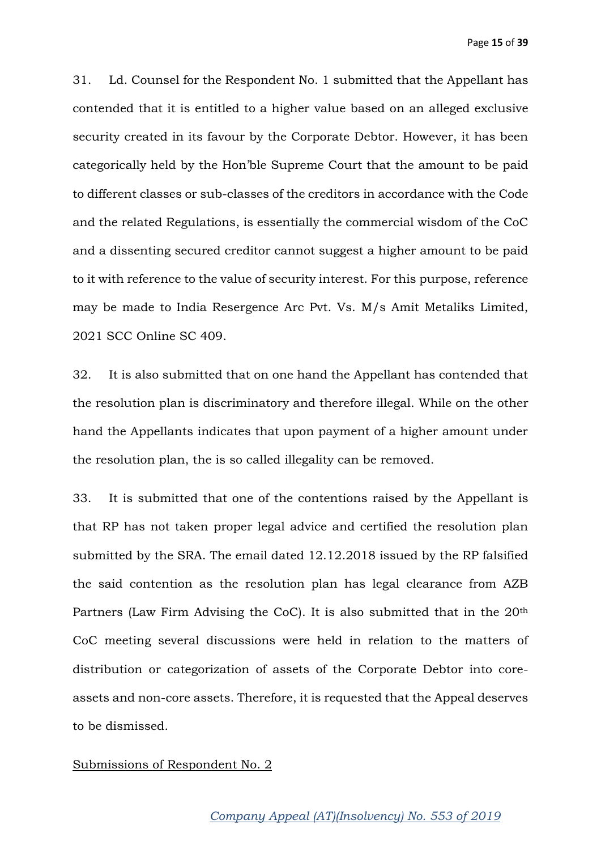31. Ld. Counsel for the Respondent No. 1 submitted that the Appellant has contended that it is entitled to a higher value based on an alleged exclusive security created in its favour by the Corporate Debtor. However, it has been categorically held by the Hon'ble Supreme Court that the amount to be paid to different classes or sub-classes of the creditors in accordance with the Code and the related Regulations, is essentially the commercial wisdom of the CoC and a dissenting secured creditor cannot suggest a higher amount to be paid to it with reference to the value of security interest. For this purpose, reference may be made to India Resergence Arc Pvt. Vs. M/s Amit Metaliks Limited, 2021 SCC Online SC 409.

32. It is also submitted that on one hand the Appellant has contended that the resolution plan is discriminatory and therefore illegal. While on the other hand the Appellants indicates that upon payment of a higher amount under the resolution plan, the is so called illegality can be removed.

33. It is submitted that one of the contentions raised by the Appellant is that RP has not taken proper legal advice and certified the resolution plan submitted by the SRA. The email dated 12.12.2018 issued by the RP falsified the said contention as the resolution plan has legal clearance from AZB Partners (Law Firm Advising the CoC). It is also submitted that in the 20<sup>th</sup> CoC meeting several discussions were held in relation to the matters of distribution or categorization of assets of the Corporate Debtor into coreassets and non-core assets. Therefore, it is requested that the Appeal deserves to be dismissed.

#### Submissions of Respondent No. 2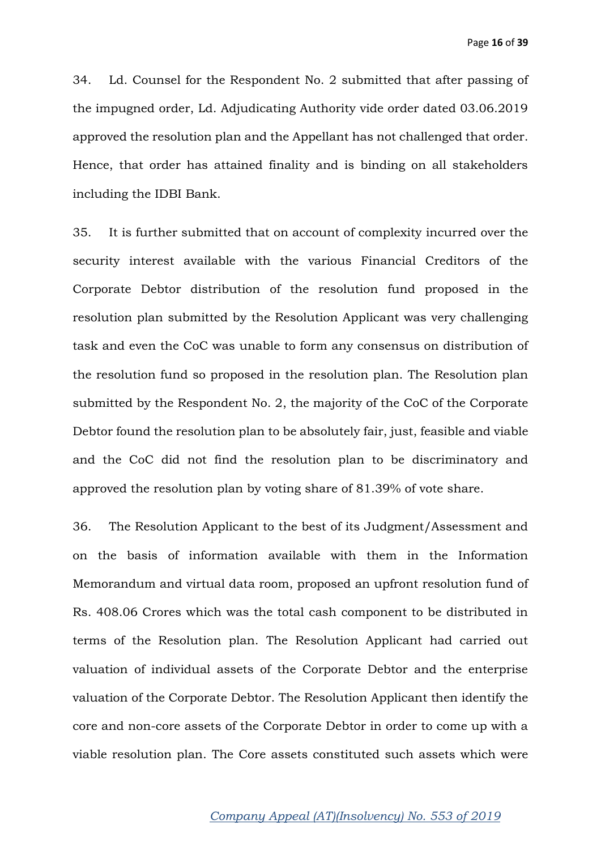34. Ld. Counsel for the Respondent No. 2 submitted that after passing of the impugned order, Ld. Adjudicating Authority vide order dated 03.06.2019 approved the resolution plan and the Appellant has not challenged that order. Hence, that order has attained finality and is binding on all stakeholders including the IDBI Bank.

35. It is further submitted that on account of complexity incurred over the security interest available with the various Financial Creditors of the Corporate Debtor distribution of the resolution fund proposed in the resolution plan submitted by the Resolution Applicant was very challenging task and even the CoC was unable to form any consensus on distribution of the resolution fund so proposed in the resolution plan. The Resolution plan submitted by the Respondent No. 2, the majority of the CoC of the Corporate Debtor found the resolution plan to be absolutely fair, just, feasible and viable and the CoC did not find the resolution plan to be discriminatory and approved the resolution plan by voting share of 81.39% of vote share.

36. The Resolution Applicant to the best of its Judgment/Assessment and on the basis of information available with them in the Information Memorandum and virtual data room, proposed an upfront resolution fund of Rs. 408.06 Crores which was the total cash component to be distributed in terms of the Resolution plan. The Resolution Applicant had carried out valuation of individual assets of the Corporate Debtor and the enterprise valuation of the Corporate Debtor. The Resolution Applicant then identify the core and non-core assets of the Corporate Debtor in order to come up with a viable resolution plan. The Core assets constituted such assets which were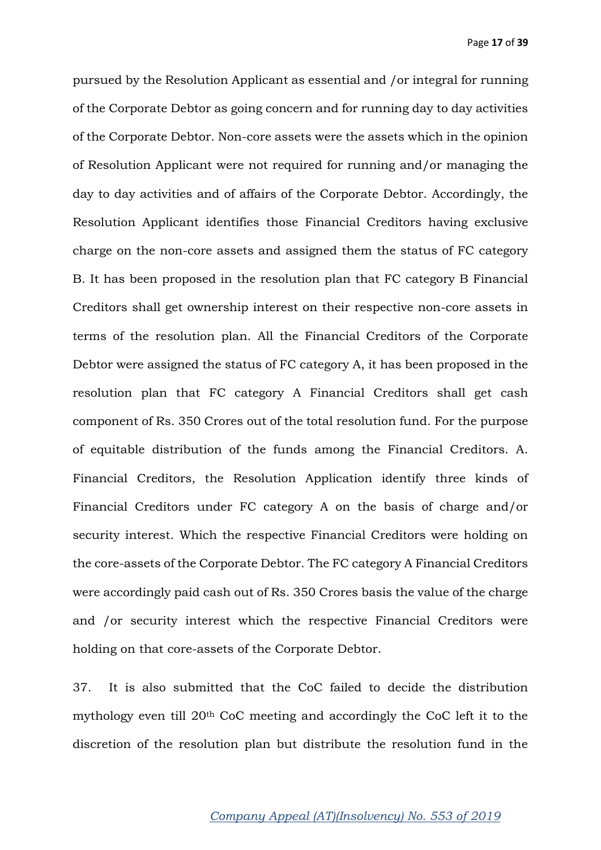pursued by the Resolution Applicant as essential and /or integral for running of the Corporate Debtor as going concern and for running day to day activities of the Corporate Debtor. Non-core assets were the assets which in the opinion of Resolution Applicant were not required for running and/or managing the day to day activities and of affairs of the Corporate Debtor. Accordingly, the Resolution Applicant identifies those Financial Creditors having exclusive charge on the non-core assets and assigned them the status of FC category B. It has been proposed in the resolution plan that FC category B Financial Creditors shall get ownership interest on their respective non-core assets in terms of the resolution plan. All the Financial Creditors of the Corporate Debtor were assigned the status of FC category A, it has been proposed in the resolution plan that FC category A Financial Creditors shall get cash component of Rs. 350 Crores out of the total resolution fund. For the purpose of equitable distribution of the funds among the Financial Creditors. A. Financial Creditors, the Resolution Application identify three kinds of Financial Creditors under FC category A on the basis of charge and/or security interest. Which the respective Financial Creditors were holding on the core-assets of the Corporate Debtor. The FC category A Financial Creditors were accordingly paid cash out of Rs. 350 Crores basis the value of the charge and /or security interest which the respective Financial Creditors were holding on that core-assets of the Corporate Debtor.

37. It is also submitted that the CoC failed to decide the distribution mythology even till 20th CoC meeting and accordingly the CoC left it to the discretion of the resolution plan but distribute the resolution fund in the

### *Company Appeal (AT)(Insolvency) No. 553 of 2019*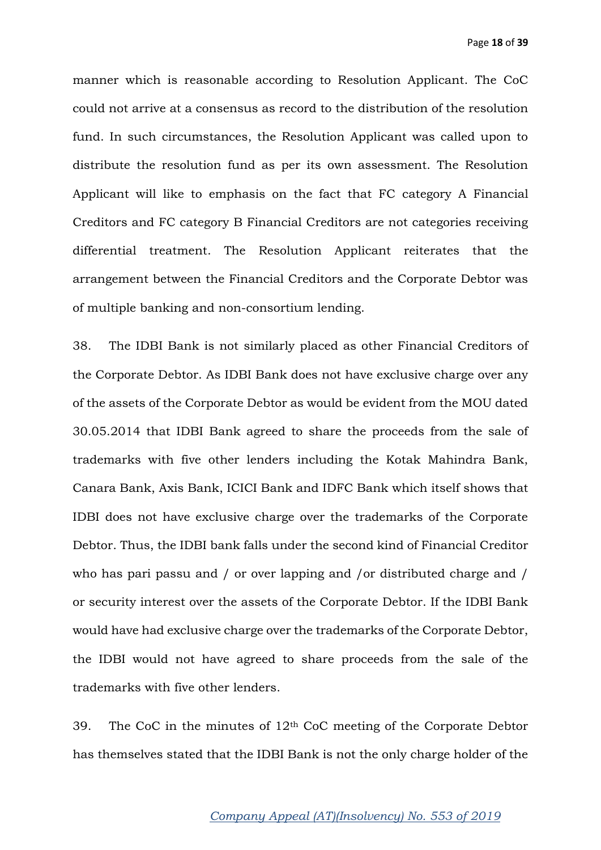manner which is reasonable according to Resolution Applicant. The CoC could not arrive at a consensus as record to the distribution of the resolution fund. In such circumstances, the Resolution Applicant was called upon to distribute the resolution fund as per its own assessment. The Resolution Applicant will like to emphasis on the fact that FC category A Financial Creditors and FC category B Financial Creditors are not categories receiving differential treatment. The Resolution Applicant reiterates that the arrangement between the Financial Creditors and the Corporate Debtor was of multiple banking and non-consortium lending.

38. The IDBI Bank is not similarly placed as other Financial Creditors of the Corporate Debtor. As IDBI Bank does not have exclusive charge over any of the assets of the Corporate Debtor as would be evident from the MOU dated 30.05.2014 that IDBI Bank agreed to share the proceeds from the sale of trademarks with five other lenders including the Kotak Mahindra Bank, Canara Bank, Axis Bank, ICICI Bank and IDFC Bank which itself shows that IDBI does not have exclusive charge over the trademarks of the Corporate Debtor. Thus, the IDBI bank falls under the second kind of Financial Creditor who has pari passu and / or over lapping and /or distributed charge and / or security interest over the assets of the Corporate Debtor. If the IDBI Bank would have had exclusive charge over the trademarks of the Corporate Debtor, the IDBI would not have agreed to share proceeds from the sale of the trademarks with five other lenders.

39. The CoC in the minutes of  $12<sup>th</sup>$  CoC meeting of the Corporate Debtor has themselves stated that the IDBI Bank is not the only charge holder of the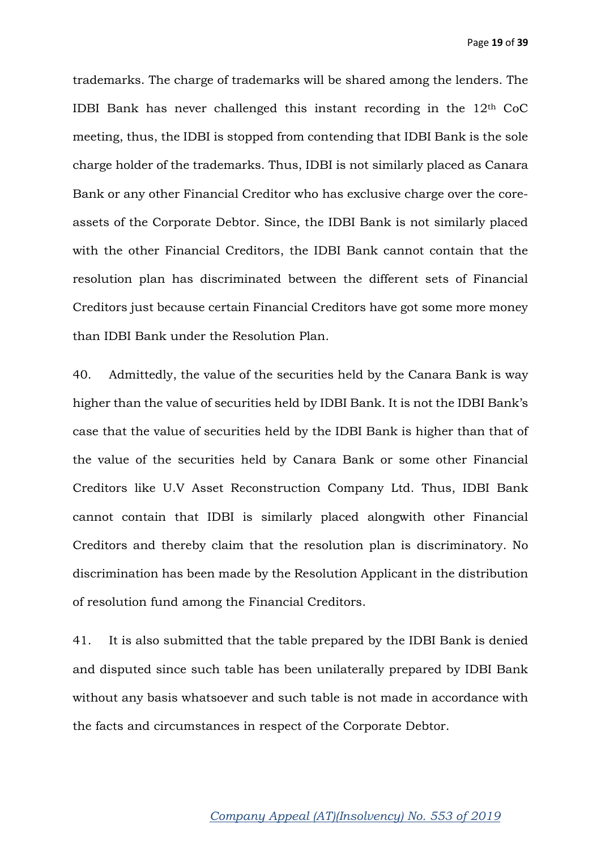trademarks. The charge of trademarks will be shared among the lenders. The IDBI Bank has never challenged this instant recording in the 12th CoC meeting, thus, the IDBI is stopped from contending that IDBI Bank is the sole charge holder of the trademarks. Thus, IDBI is not similarly placed as Canara Bank or any other Financial Creditor who has exclusive charge over the coreassets of the Corporate Debtor. Since, the IDBI Bank is not similarly placed with the other Financial Creditors, the IDBI Bank cannot contain that the resolution plan has discriminated between the different sets of Financial Creditors just because certain Financial Creditors have got some more money than IDBI Bank under the Resolution Plan.

40. Admittedly, the value of the securities held by the Canara Bank is way higher than the value of securities held by IDBI Bank. It is not the IDBI Bank's case that the value of securities held by the IDBI Bank is higher than that of the value of the securities held by Canara Bank or some other Financial Creditors like U.V Asset Reconstruction Company Ltd. Thus, IDBI Bank cannot contain that IDBI is similarly placed alongwith other Financial Creditors and thereby claim that the resolution plan is discriminatory. No discrimination has been made by the Resolution Applicant in the distribution of resolution fund among the Financial Creditors.

41. It is also submitted that the table prepared by the IDBI Bank is denied and disputed since such table has been unilaterally prepared by IDBI Bank without any basis whatsoever and such table is not made in accordance with the facts and circumstances in respect of the Corporate Debtor.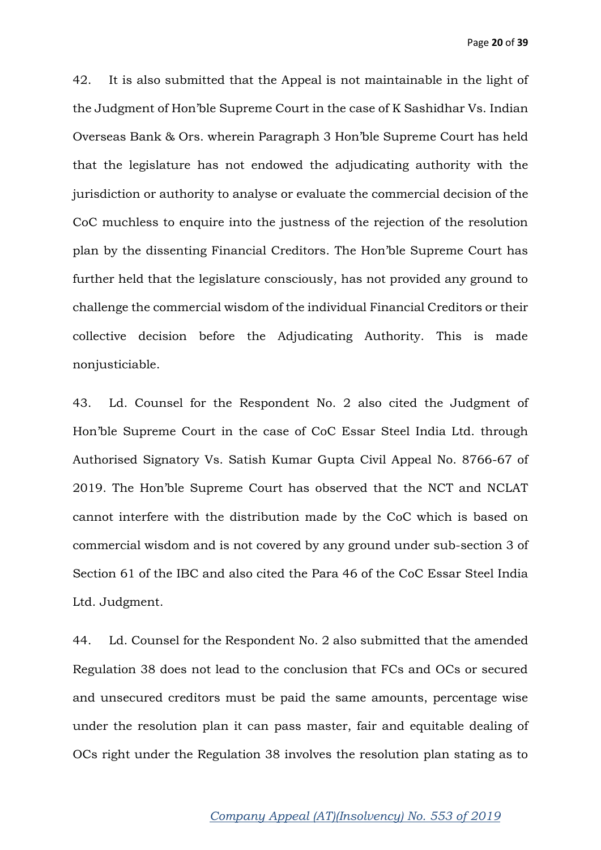42. It is also submitted that the Appeal is not maintainable in the light of the Judgment of Hon'ble Supreme Court in the case of K Sashidhar Vs. Indian Overseas Bank & Ors. wherein Paragraph 3 Hon'ble Supreme Court has held that the legislature has not endowed the adjudicating authority with the jurisdiction or authority to analyse or evaluate the commercial decision of the CoC muchless to enquire into the justness of the rejection of the resolution plan by the dissenting Financial Creditors. The Hon'ble Supreme Court has further held that the legislature consciously, has not provided any ground to challenge the commercial wisdom of the individual Financial Creditors or their collective decision before the Adjudicating Authority. This is made nonjusticiable.

43. Ld. Counsel for the Respondent No. 2 also cited the Judgment of Hon'ble Supreme Court in the case of CoC Essar Steel India Ltd. through Authorised Signatory Vs. Satish Kumar Gupta Civil Appeal No. 8766-67 of 2019. The Hon'ble Supreme Court has observed that the NCT and NCLAT cannot interfere with the distribution made by the CoC which is based on commercial wisdom and is not covered by any ground under sub-section 3 of Section 61 of the IBC and also cited the Para 46 of the CoC Essar Steel India Ltd. Judgment.

44. Ld. Counsel for the Respondent No. 2 also submitted that the amended Regulation 38 does not lead to the conclusion that FCs and OCs or secured and unsecured creditors must be paid the same amounts, percentage wise under the resolution plan it can pass master, fair and equitable dealing of OCs right under the Regulation 38 involves the resolution plan stating as to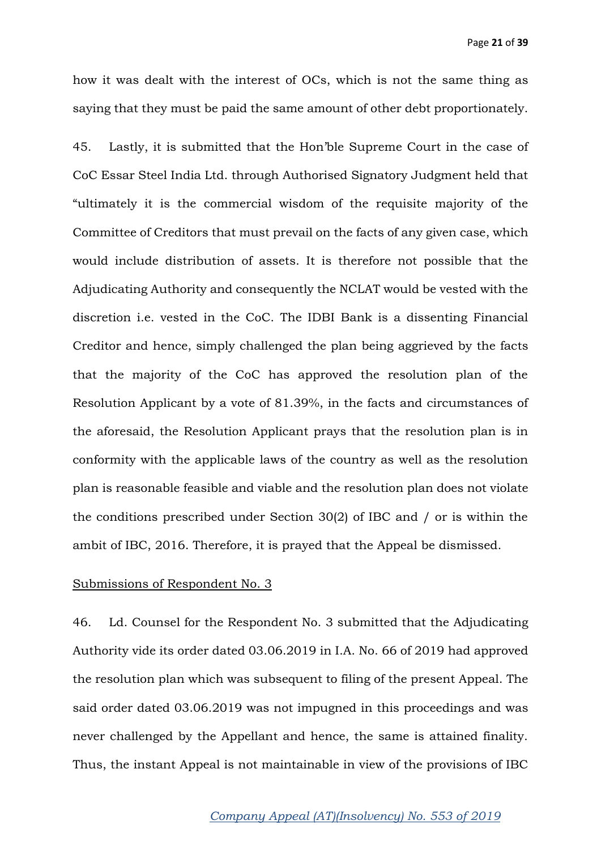how it was dealt with the interest of OCs, which is not the same thing as saying that they must be paid the same amount of other debt proportionately.

45. Lastly, it is submitted that the Hon'ble Supreme Court in the case of CoC Essar Steel India Ltd. through Authorised Signatory Judgment held that "ultimately it is the commercial wisdom of the requisite majority of the Committee of Creditors that must prevail on the facts of any given case, which would include distribution of assets. It is therefore not possible that the Adjudicating Authority and consequently the NCLAT would be vested with the discretion i.e. vested in the CoC. The IDBI Bank is a dissenting Financial Creditor and hence, simply challenged the plan being aggrieved by the facts that the majority of the CoC has approved the resolution plan of the Resolution Applicant by a vote of 81.39%, in the facts and circumstances of the aforesaid, the Resolution Applicant prays that the resolution plan is in conformity with the applicable laws of the country as well as the resolution plan is reasonable feasible and viable and the resolution plan does not violate the conditions prescribed under Section 30(2) of IBC and / or is within the ambit of IBC, 2016. Therefore, it is prayed that the Appeal be dismissed.

#### Submissions of Respondent No. 3

46. Ld. Counsel for the Respondent No. 3 submitted that the Adjudicating Authority vide its order dated 03.06.2019 in I.A. No. 66 of 2019 had approved the resolution plan which was subsequent to filing of the present Appeal. The said order dated 03.06.2019 was not impugned in this proceedings and was never challenged by the Appellant and hence, the same is attained finality. Thus, the instant Appeal is not maintainable in view of the provisions of IBC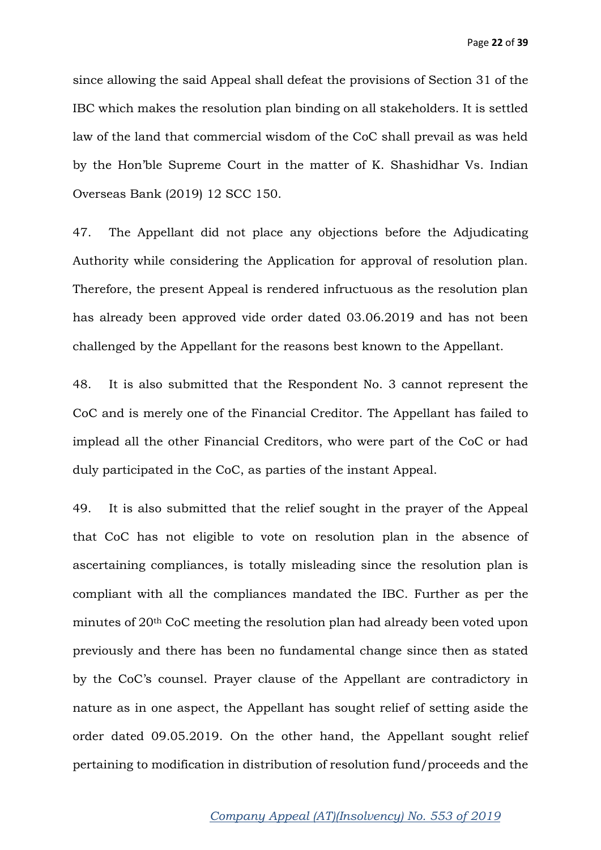since allowing the said Appeal shall defeat the provisions of Section 31 of the IBC which makes the resolution plan binding on all stakeholders. It is settled law of the land that commercial wisdom of the CoC shall prevail as was held by the Hon'ble Supreme Court in the matter of K. Shashidhar Vs. Indian Overseas Bank (2019) 12 SCC 150.

47. The Appellant did not place any objections before the Adjudicating Authority while considering the Application for approval of resolution plan. Therefore, the present Appeal is rendered infructuous as the resolution plan has already been approved vide order dated 03.06.2019 and has not been challenged by the Appellant for the reasons best known to the Appellant.

48. It is also submitted that the Respondent No. 3 cannot represent the CoC and is merely one of the Financial Creditor. The Appellant has failed to implead all the other Financial Creditors, who were part of the CoC or had duly participated in the CoC, as parties of the instant Appeal.

49. It is also submitted that the relief sought in the prayer of the Appeal that CoC has not eligible to vote on resolution plan in the absence of ascertaining compliances, is totally misleading since the resolution plan is compliant with all the compliances mandated the IBC. Further as per the minutes of 20th CoC meeting the resolution plan had already been voted upon previously and there has been no fundamental change since then as stated by the CoC's counsel. Prayer clause of the Appellant are contradictory in nature as in one aspect, the Appellant has sought relief of setting aside the order dated 09.05.2019. On the other hand, the Appellant sought relief pertaining to modification in distribution of resolution fund/proceeds and the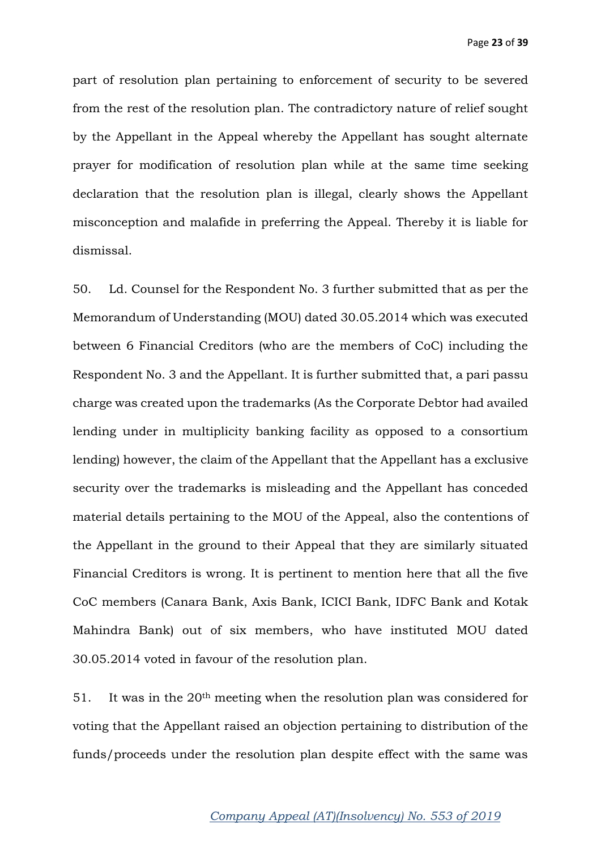part of resolution plan pertaining to enforcement of security to be severed from the rest of the resolution plan. The contradictory nature of relief sought by the Appellant in the Appeal whereby the Appellant has sought alternate prayer for modification of resolution plan while at the same time seeking declaration that the resolution plan is illegal, clearly shows the Appellant misconception and malafide in preferring the Appeal. Thereby it is liable for dismissal.

50. Ld. Counsel for the Respondent No. 3 further submitted that as per the Memorandum of Understanding (MOU) dated 30.05.2014 which was executed between 6 Financial Creditors (who are the members of CoC) including the Respondent No. 3 and the Appellant. It is further submitted that, a pari passu charge was created upon the trademarks (As the Corporate Debtor had availed lending under in multiplicity banking facility as opposed to a consortium lending) however, the claim of the Appellant that the Appellant has a exclusive security over the trademarks is misleading and the Appellant has conceded material details pertaining to the MOU of the Appeal, also the contentions of the Appellant in the ground to their Appeal that they are similarly situated Financial Creditors is wrong. It is pertinent to mention here that all the five CoC members (Canara Bank, Axis Bank, ICICI Bank, IDFC Bank and Kotak Mahindra Bank) out of six members, who have instituted MOU dated 30.05.2014 voted in favour of the resolution plan.

51. It was in the 20th meeting when the resolution plan was considered for voting that the Appellant raised an objection pertaining to distribution of the funds/proceeds under the resolution plan despite effect with the same was

### *Company Appeal (AT)(Insolvency) No. 553 of 2019*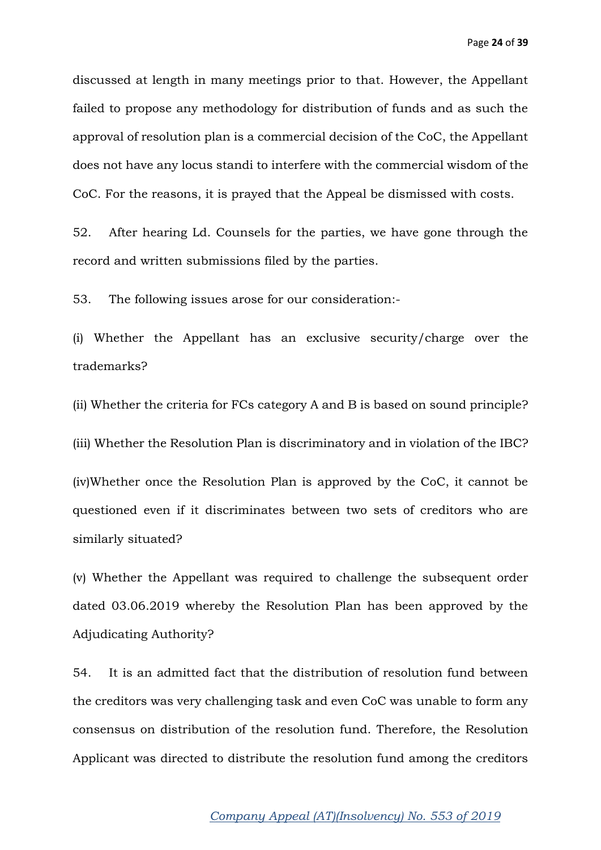discussed at length in many meetings prior to that. However, the Appellant failed to propose any methodology for distribution of funds and as such the approval of resolution plan is a commercial decision of the CoC, the Appellant does not have any locus standi to interfere with the commercial wisdom of the CoC. For the reasons, it is prayed that the Appeal be dismissed with costs.

52. After hearing Ld. Counsels for the parties, we have gone through the record and written submissions filed by the parties.

53. The following issues arose for our consideration:-

(i) Whether the Appellant has an exclusive security/charge over the trademarks?

(ii) Whether the criteria for FCs category A and B is based on sound principle?

(iii) Whether the Resolution Plan is discriminatory and in violation of the IBC?

(iv)Whether once the Resolution Plan is approved by the CoC, it cannot be questioned even if it discriminates between two sets of creditors who are similarly situated?

(v) Whether the Appellant was required to challenge the subsequent order dated 03.06.2019 whereby the Resolution Plan has been approved by the Adjudicating Authority?

54. It is an admitted fact that the distribution of resolution fund between the creditors was very challenging task and even CoC was unable to form any consensus on distribution of the resolution fund. Therefore, the Resolution Applicant was directed to distribute the resolution fund among the creditors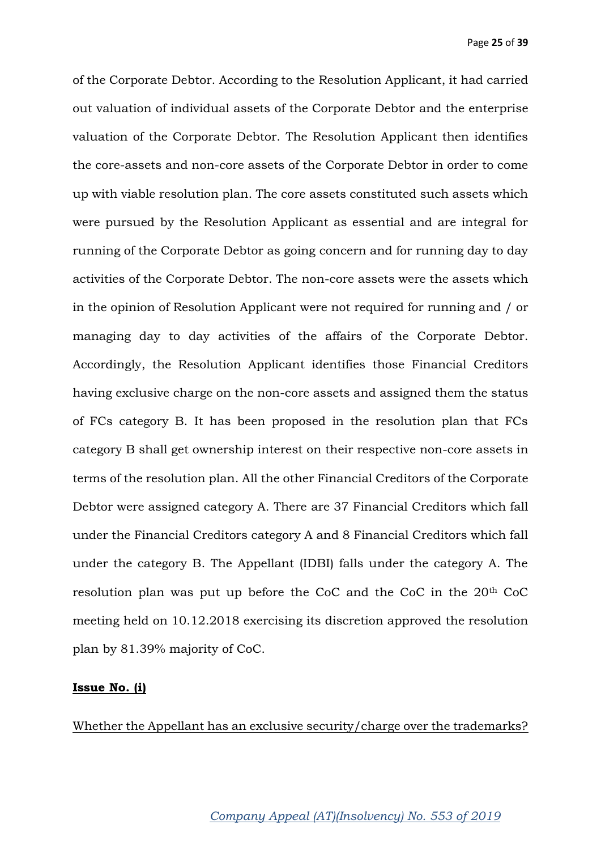of the Corporate Debtor. According to the Resolution Applicant, it had carried out valuation of individual assets of the Corporate Debtor and the enterprise valuation of the Corporate Debtor. The Resolution Applicant then identifies the core-assets and non-core assets of the Corporate Debtor in order to come up with viable resolution plan. The core assets constituted such assets which were pursued by the Resolution Applicant as essential and are integral for running of the Corporate Debtor as going concern and for running day to day activities of the Corporate Debtor. The non-core assets were the assets which in the opinion of Resolution Applicant were not required for running and / or managing day to day activities of the affairs of the Corporate Debtor. Accordingly, the Resolution Applicant identifies those Financial Creditors having exclusive charge on the non-core assets and assigned them the status of FCs category B. It has been proposed in the resolution plan that FCs category B shall get ownership interest on their respective non-core assets in terms of the resolution plan. All the other Financial Creditors of the Corporate Debtor were assigned category A. There are 37 Financial Creditors which fall under the Financial Creditors category A and 8 Financial Creditors which fall under the category B. The Appellant (IDBI) falls under the category A. The resolution plan was put up before the CoC and the CoC in the 20th CoC meeting held on 10.12.2018 exercising its discretion approved the resolution plan by 81.39% majority of CoC.

#### **Issue No. (i)**

Whether the Appellant has an exclusive security/charge over the trademarks?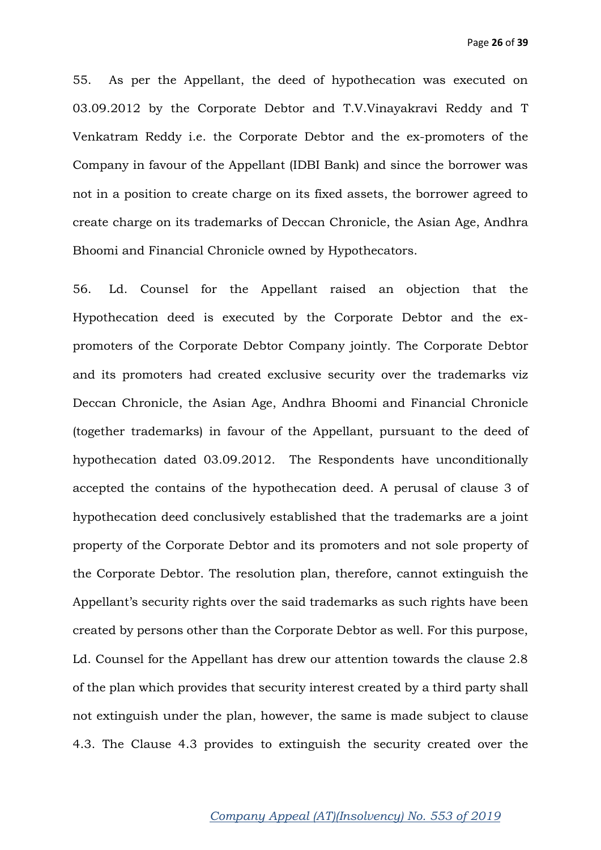55. As per the Appellant, the deed of hypothecation was executed on 03.09.2012 by the Corporate Debtor and T.V.Vinayakravi Reddy and T Venkatram Reddy i.e. the Corporate Debtor and the ex-promoters of the Company in favour of the Appellant (IDBI Bank) and since the borrower was not in a position to create charge on its fixed assets, the borrower agreed to create charge on its trademarks of Deccan Chronicle, the Asian Age, Andhra Bhoomi and Financial Chronicle owned by Hypothecators.

56. Ld. Counsel for the Appellant raised an objection that the Hypothecation deed is executed by the Corporate Debtor and the expromoters of the Corporate Debtor Company jointly. The Corporate Debtor and its promoters had created exclusive security over the trademarks viz Deccan Chronicle, the Asian Age, Andhra Bhoomi and Financial Chronicle (together trademarks) in favour of the Appellant, pursuant to the deed of hypothecation dated 03.09.2012. The Respondents have unconditionally accepted the contains of the hypothecation deed. A perusal of clause 3 of hypothecation deed conclusively established that the trademarks are a joint property of the Corporate Debtor and its promoters and not sole property of the Corporate Debtor. The resolution plan, therefore, cannot extinguish the Appellant's security rights over the said trademarks as such rights have been created by persons other than the Corporate Debtor as well. For this purpose, Ld. Counsel for the Appellant has drew our attention towards the clause 2.8 of the plan which provides that security interest created by a third party shall not extinguish under the plan, however, the same is made subject to clause 4.3. The Clause 4.3 provides to extinguish the security created over the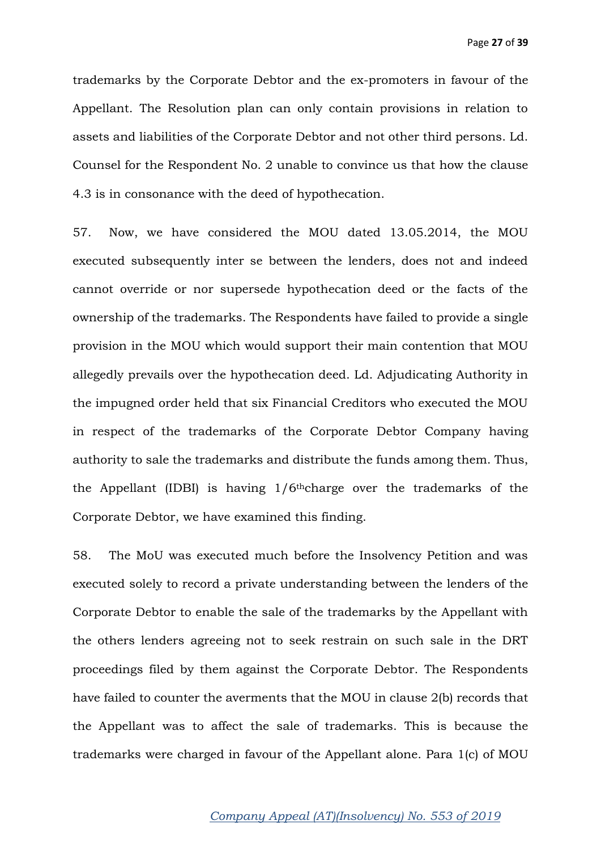trademarks by the Corporate Debtor and the ex-promoters in favour of the Appellant. The Resolution plan can only contain provisions in relation to assets and liabilities of the Corporate Debtor and not other third persons. Ld. Counsel for the Respondent No. 2 unable to convince us that how the clause 4.3 is in consonance with the deed of hypothecation.

57. Now, we have considered the MOU dated 13.05.2014, the MOU executed subsequently inter se between the lenders, does not and indeed cannot override or nor supersede hypothecation deed or the facts of the ownership of the trademarks. The Respondents have failed to provide a single provision in the MOU which would support their main contention that MOU allegedly prevails over the hypothecation deed. Ld. Adjudicating Authority in the impugned order held that six Financial Creditors who executed the MOU in respect of the trademarks of the Corporate Debtor Company having authority to sale the trademarks and distribute the funds among them. Thus, the Appellant (IDBI) is having  $1/6$ <sup>th</sup>charge over the trademarks of the Corporate Debtor, we have examined this finding.

58. The MoU was executed much before the Insolvency Petition and was executed solely to record a private understanding between the lenders of the Corporate Debtor to enable the sale of the trademarks by the Appellant with the others lenders agreeing not to seek restrain on such sale in the DRT proceedings filed by them against the Corporate Debtor. The Respondents have failed to counter the averments that the MOU in clause 2(b) records that the Appellant was to affect the sale of trademarks. This is because the trademarks were charged in favour of the Appellant alone. Para 1(c) of MOU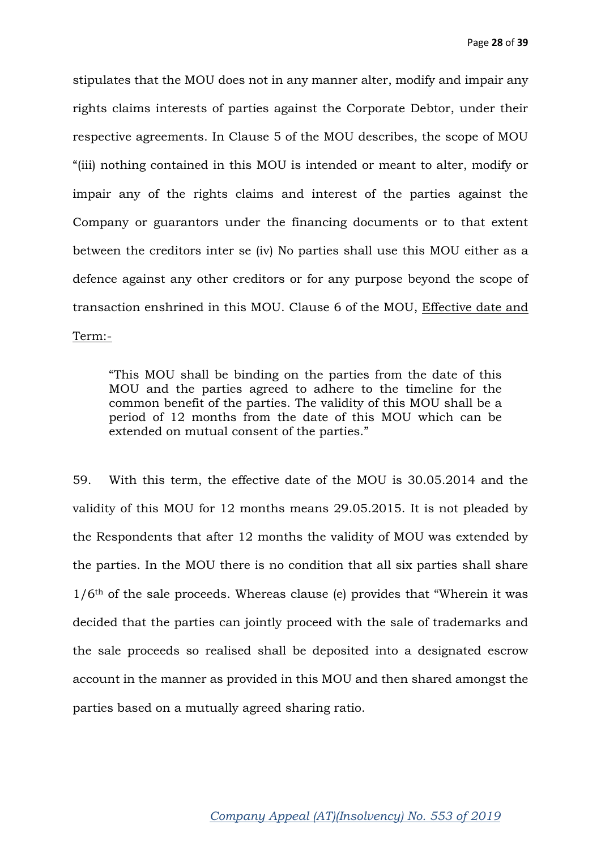stipulates that the MOU does not in any manner alter, modify and impair any rights claims interests of parties against the Corporate Debtor, under their respective agreements. In Clause 5 of the MOU describes, the scope of MOU "(iii) nothing contained in this MOU is intended or meant to alter, modify or impair any of the rights claims and interest of the parties against the Company or guarantors under the financing documents or to that extent between the creditors inter se (iv) No parties shall use this MOU either as a defence against any other creditors or for any purpose beyond the scope of transaction enshrined in this MOU. Clause 6 of the MOU, Effective date and Term:-

"This MOU shall be binding on the parties from the date of this MOU and the parties agreed to adhere to the timeline for the common benefit of the parties. The validity of this MOU shall be a period of 12 months from the date of this MOU which can be extended on mutual consent of the parties."

59. With this term, the effective date of the MOU is 30.05.2014 and the validity of this MOU for 12 months means 29.05.2015. It is not pleaded by the Respondents that after 12 months the validity of MOU was extended by the parties. In the MOU there is no condition that all six parties shall share  $1/6$ <sup>th</sup> of the sale proceeds. Whereas clause (e) provides that "Wherein it was decided that the parties can jointly proceed with the sale of trademarks and the sale proceeds so realised shall be deposited into a designated escrow account in the manner as provided in this MOU and then shared amongst the parties based on a mutually agreed sharing ratio.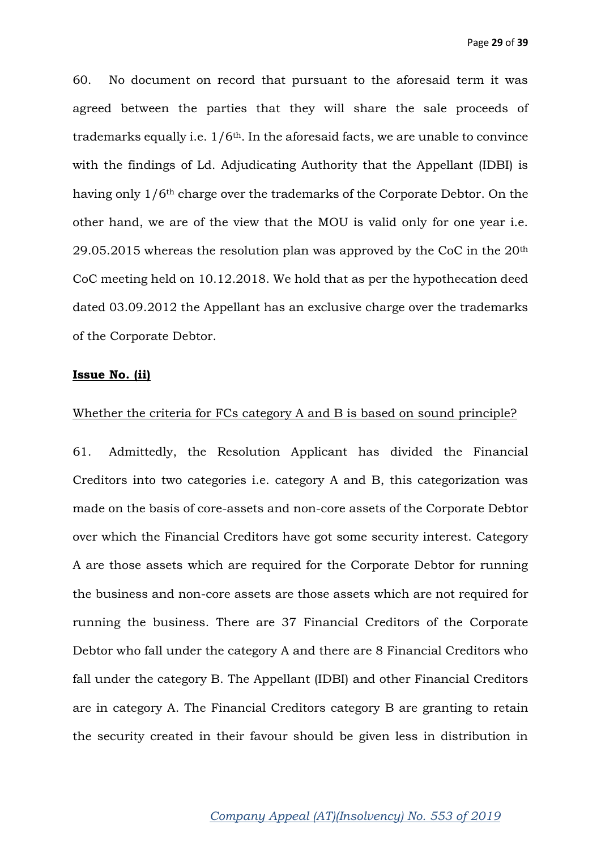60. No document on record that pursuant to the aforesaid term it was agreed between the parties that they will share the sale proceeds of trademarks equally i.e.  $1/6<sup>th</sup>$ . In the aforesaid facts, we are unable to convince with the findings of Ld. Adjudicating Authority that the Appellant (IDBI) is having only 1/6th charge over the trademarks of the Corporate Debtor. On the other hand, we are of the view that the MOU is valid only for one year i.e. 29.05.2015 whereas the resolution plan was approved by the CoC in the  $20<sup>th</sup>$ CoC meeting held on 10.12.2018. We hold that as per the hypothecation deed dated 03.09.2012 the Appellant has an exclusive charge over the trademarks of the Corporate Debtor.

### **Issue No. (ii)**

#### Whether the criteria for FCs category A and B is based on sound principle?

61. Admittedly, the Resolution Applicant has divided the Financial Creditors into two categories i.e. category A and B, this categorization was made on the basis of core-assets and non-core assets of the Corporate Debtor over which the Financial Creditors have got some security interest. Category A are those assets which are required for the Corporate Debtor for running the business and non-core assets are those assets which are not required for running the business. There are 37 Financial Creditors of the Corporate Debtor who fall under the category A and there are 8 Financial Creditors who fall under the category B. The Appellant (IDBI) and other Financial Creditors are in category A. The Financial Creditors category B are granting to retain the security created in their favour should be given less in distribution in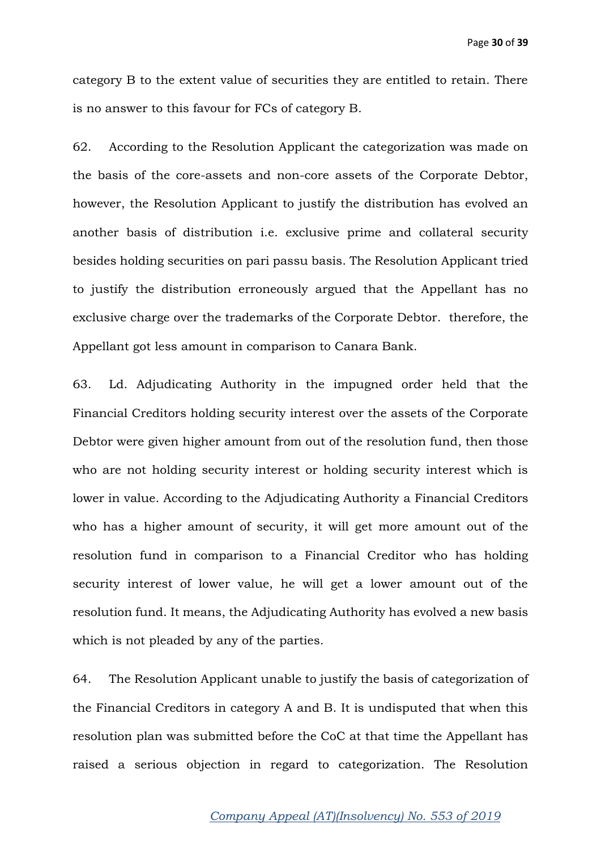category B to the extent value of securities they are entitled to retain. There is no answer to this favour for FCs of category B.

62. According to the Resolution Applicant the categorization was made on the basis of the core-assets and non-core assets of the Corporate Debtor, however, the Resolution Applicant to justify the distribution has evolved an another basis of distribution i.e. exclusive prime and collateral security besides holding securities on pari passu basis. The Resolution Applicant tried to justify the distribution erroneously argued that the Appellant has no exclusive charge over the trademarks of the Corporate Debtor. therefore, the Appellant got less amount in comparison to Canara Bank.

63. Ld. Adjudicating Authority in the impugned order held that the Financial Creditors holding security interest over the assets of the Corporate Debtor were given higher amount from out of the resolution fund, then those who are not holding security interest or holding security interest which is lower in value. According to the Adjudicating Authority a Financial Creditors who has a higher amount of security, it will get more amount out of the resolution fund in comparison to a Financial Creditor who has holding security interest of lower value, he will get a lower amount out of the resolution fund. It means, the Adjudicating Authority has evolved a new basis which is not pleaded by any of the parties.

64. The Resolution Applicant unable to justify the basis of categorization of the Financial Creditors in category A and B. It is undisputed that when this resolution plan was submitted before the CoC at that time the Appellant has raised a serious objection in regard to categorization. The Resolution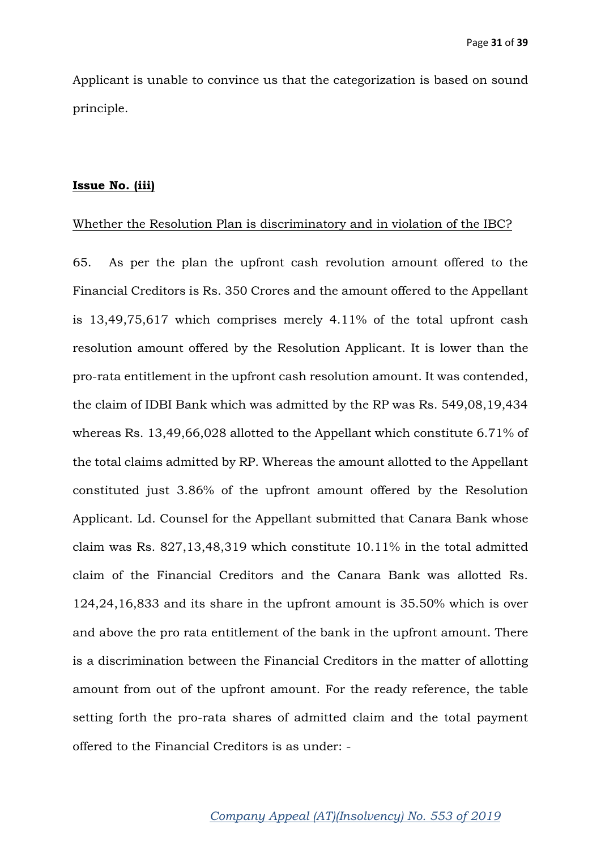Applicant is unable to convince us that the categorization is based on sound principle.

#### **Issue No. (iii)**

#### Whether the Resolution Plan is discriminatory and in violation of the IBC?

65. As per the plan the upfront cash revolution amount offered to the Financial Creditors is Rs. 350 Crores and the amount offered to the Appellant is 13,49,75,617 which comprises merely 4.11% of the total upfront cash resolution amount offered by the Resolution Applicant. It is lower than the pro-rata entitlement in the upfront cash resolution amount. It was contended, the claim of IDBI Bank which was admitted by the RP was Rs. 549,08,19,434 whereas Rs. 13,49,66,028 allotted to the Appellant which constitute 6.71% of the total claims admitted by RP. Whereas the amount allotted to the Appellant constituted just 3.86% of the upfront amount offered by the Resolution Applicant. Ld. Counsel for the Appellant submitted that Canara Bank whose claim was Rs. 827,13,48,319 which constitute 10.11% in the total admitted claim of the Financial Creditors and the Canara Bank was allotted Rs. 124,24,16,833 and its share in the upfront amount is 35.50% which is over and above the pro rata entitlement of the bank in the upfront amount. There is a discrimination between the Financial Creditors in the matter of allotting amount from out of the upfront amount. For the ready reference, the table setting forth the pro-rata shares of admitted claim and the total payment offered to the Financial Creditors is as under: -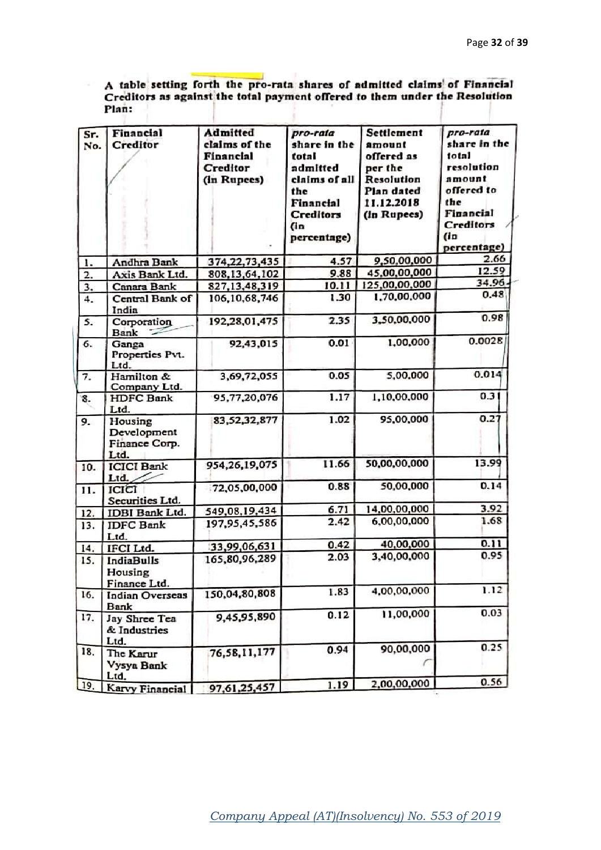A table setting forth the pro-rata shares of admitted claims of Financial Creditors as against the total payment offered to them under the Resolution Plan: ×

| Sr.<br>No. | Financial<br>Creditor                           | Admitted<br>claims of the<br>Financial<br>Creditor<br>(in Rupees) | pro-rata<br>share in the<br>total<br>admitted<br>claims of all<br>the<br>Financial<br>Creditors<br>(in<br>percentage) | Settlement<br>amount<br>offered as<br>per the<br>Resolution<br>Plan dated<br>11.12.2018<br>(in Rupees) | pro-rata<br>share in the<br>total<br>resolution<br>amount<br>offered to<br>the<br>Financial<br>Creditors<br>(1n)<br>percentage) |
|------------|-------------------------------------------------|-------------------------------------------------------------------|-----------------------------------------------------------------------------------------------------------------------|--------------------------------------------------------------------------------------------------------|---------------------------------------------------------------------------------------------------------------------------------|
| 1.         | Andhra Bank                                     | 374, 22, 73, 435                                                  | 4.57                                                                                                                  | 9,50,00,000                                                                                            | 2.66                                                                                                                            |
| 2.         | Axis Bank Ltd.                                  | 808, 13, 64, 102                                                  | 9.88                                                                                                                  | 45.00,00,000                                                                                           | 12.59                                                                                                                           |
| 3.         | Canara Bank                                     | 827, 13, 48, 319                                                  | 10.11                                                                                                                 | 125,00,00,000                                                                                          | 34.96                                                                                                                           |
| 4.         | Central Bank of<br>India                        | 106, 10, 68, 746                                                  | 1.30                                                                                                                  | 1,70,00,000                                                                                            | 0.48                                                                                                                            |
| 5.         | Corporation<br>Bank                             | 192,28,01,475                                                     | 2.35                                                                                                                  | 3,50,00,000                                                                                            | 0.98                                                                                                                            |
| 6.         | Ganga<br>Properties Pvt.<br>Ltd.                | 92,43,015                                                         | 0.01                                                                                                                  | 1,00,000                                                                                               | 0.0028                                                                                                                          |
| 7.         | Hamilton &<br>Company Ltd.                      | 3,69,72,055                                                       | 0.05                                                                                                                  | 5,00,000                                                                                               | 0.014                                                                                                                           |
| 8.         | <b>HDFC</b> Bank<br>Ltd.                        | 95,77,20,076                                                      | 1.17                                                                                                                  | 1,10,00,000                                                                                            | 0.31                                                                                                                            |
| 9.         | Housing<br>Development<br>Finance Corp.<br>Ltd. | 83,52,32,877                                                      | 1.02                                                                                                                  | 95,00,000                                                                                              | 0.27                                                                                                                            |
| 10.        | <b>ICICI</b> Bank<br>Ltd.                       | 954,26,19,075                                                     | 11.66                                                                                                                 | 50,00,00,000                                                                                           | 13.99                                                                                                                           |
| 11.        | ICICI<br>Securities Ltd.                        | 72,05,00,000                                                      | 0.88                                                                                                                  | 50,00,000                                                                                              | 0.14                                                                                                                            |
| 12.        | IDBI Bank Ltd.                                  | 549,08,19,434                                                     | 6.71                                                                                                                  | 14,00,00,000                                                                                           | 3.92                                                                                                                            |
| 13.        | <b>IDFC Bank</b><br>Ltd.                        | 197,95,45,586                                                     | 2.42                                                                                                                  | 6,00,00,000                                                                                            | 1.68                                                                                                                            |
| 14.        | IFCI Ltd.                                       | 33,99,06,631                                                      | 0.42                                                                                                                  | 40,00,000                                                                                              | 0.11                                                                                                                            |
| 15.        | <b>IndiaBulls</b><br>Housing<br>Finance Ltd.    | 165,80,96,289                                                     | 2.03                                                                                                                  | 3,40,00,000                                                                                            | 0.95                                                                                                                            |
| 16.        | <b>Indian Overseas</b><br>Bank                  | 150,04,80,808                                                     | 1.83                                                                                                                  | 4,00,00,000                                                                                            | 1.12                                                                                                                            |
| 17.        | Jay Shree Tea<br>& Industries<br>Ltd.           | 9,45,95,890                                                       | 0.12                                                                                                                  | 11,00,000                                                                                              | 0.03                                                                                                                            |
| 18.        | The Karur<br>Vysya Bank<br>Ltd.                 | 76,58,11,177                                                      | 0.94                                                                                                                  | 90,00,000                                                                                              | 0.25                                                                                                                            |
| 19.        | Karvy Financial                                 | 97,61,25,457                                                      | 1.19                                                                                                                  | 2,00,00,000                                                                                            | 0.56                                                                                                                            |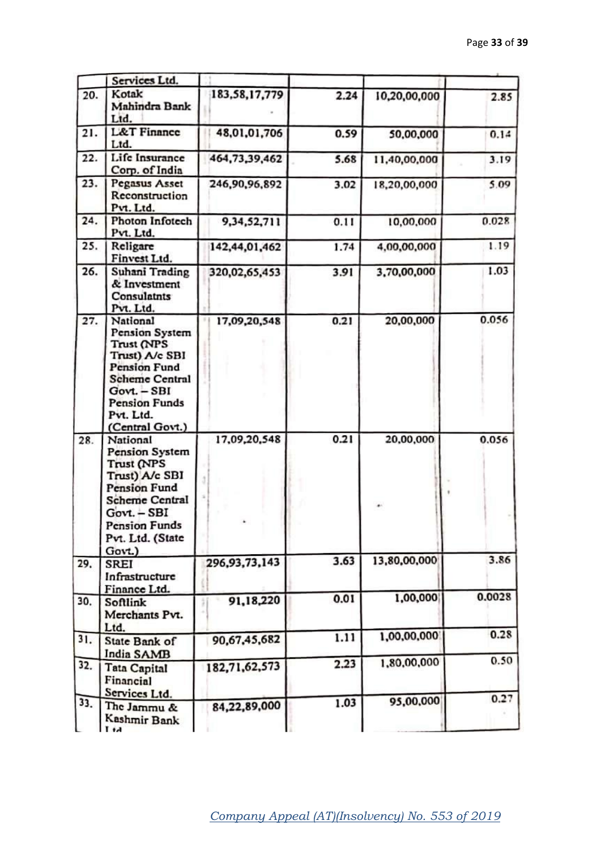|     | Services Ltd.                                                                                                                                                                                 |                  |      |              |        |
|-----|-----------------------------------------------------------------------------------------------------------------------------------------------------------------------------------------------|------------------|------|--------------|--------|
| 20. | Kotak<br>Mahindra Bank<br>Ltd.                                                                                                                                                                | 183,58,17,779    | 2.24 | 10,20,00,000 | 2.85   |
| 21. | <b>L&amp;T</b> Finance<br>Ltd.                                                                                                                                                                | 48,01,01,706     | 0.59 | 50,00,000    | 0.14   |
| 22. | Life Insurance<br>Corp. of India                                                                                                                                                              | 464,73,39,462    | 5.68 | 11,40,00,000 | 3.19   |
| 23. | Pegasus Asset<br>Reconstruction<br>Pvt. Ltd.                                                                                                                                                  | 246,90,96,892    | 3.02 | 18,20,00,000 | 5.09   |
| 24. | Photon Infotech<br>Pvt. Ltd.                                                                                                                                                                  | 9,34,52,711      | 0.11 | 10,00,000    | 0.028  |
| 25. | Religare<br>Finvest Ltd.                                                                                                                                                                      | 142,44,01,462    | 1.74 | 4,00,00,000  | 1.19   |
| 26. | Suhani Trading<br>& Investment<br>Consulatnts<br>Pvt. Ltd.                                                                                                                                    | 320,02,65,453    | 3.91 | 3,70,00,000  | 1.03   |
| 27. | National<br>Pension System<br>Trust (NPS<br>Trust) A/c SBI<br>Pension Fund<br><b>Scheme Central</b><br>Govt. - SBI<br><b>Pension Funds</b><br>Pvt. Ltd.<br>(Central Govt.)                    | 17,09,20,548     | 0.21 | 20,00,000    | 0.056  |
| 28. | National<br><b>Pension System</b><br><b>Trust (NPS</b><br>Trust) A/c SBI<br><b>Pension Fund</b><br><b>Scheme Central</b><br>Govt. - SBI<br><b>Pension Funds</b><br>Pvt. Ltd. (State<br>Govt.) | 17,09,20,548     | 0.21 | 20,00,000    | 0.056  |
| 29. | SREI<br>Infrastructure<br>Finance Ltd.                                                                                                                                                        | 296, 93, 73, 143 | 3.63 | 13,80,00,000 | 3.86   |
| 30. | Softlink<br>Merchants Pvt.<br>Ltd.                                                                                                                                                            | 91,18,220        | 0.01 | 1,00,000     | 0.0028 |
| 31. | State Bank of<br>India SAMB                                                                                                                                                                   | 90,67,45,682     | 1.11 | 1,00,00,000  | 0.28   |
| 32. | <b>Tata Capital</b><br>Financial<br>Services Ltd.                                                                                                                                             | 182,71,62,573    | 2.23 | 1,80,00,000  | 0.50   |
| 33. | The Jammu &<br>Kashmir Bank<br><b>1.1</b>                                                                                                                                                     | 84,22,89,000     | 1.03 | 95,00,000    | 0.27   |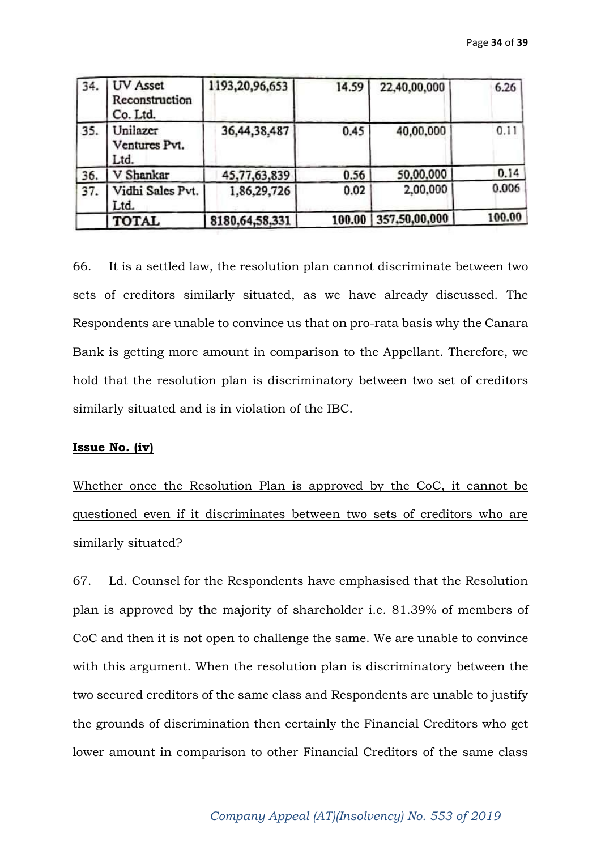| 34. | UV Asset<br>Reconstruction<br>Co. Ltd. | 1193,20,96,653    | 14.59  | 22,40,00,000  | 6.26   |
|-----|----------------------------------------|-------------------|--------|---------------|--------|
| 35. | Unilazer<br>Ventures Pvt.<br>Ltd.      | 36,44,38,487      | 0.45   | 40,00,000     | 0.11   |
| 36. | V Shankar                              | 45,77,63,839      | 0.56   | 50,00,000     | 0.14   |
| 37. | Vidhi Sales Pvt.<br>Ltd.               | 1,86,29,726       | 0.02   | 2,00,000      | 0.006  |
|     | <b>TOTAL</b>                           | 8180, 64, 58, 331 | 100.00 | 357,50,00,000 | 100.00 |

66. It is a settled law, the resolution plan cannot discriminate between two sets of creditors similarly situated, as we have already discussed. The Respondents are unable to convince us that on pro-rata basis why the Canara Bank is getting more amount in comparison to the Appellant. Therefore, we hold that the resolution plan is discriminatory between two set of creditors similarly situated and is in violation of the IBC.

### **Issue No. (iv)**

Whether once the Resolution Plan is approved by the CoC, it cannot be questioned even if it discriminates between two sets of creditors who are similarly situated?

67. Ld. Counsel for the Respondents have emphasised that the Resolution plan is approved by the majority of shareholder i.e. 81.39% of members of CoC and then it is not open to challenge the same. We are unable to convince with this argument. When the resolution plan is discriminatory between the two secured creditors of the same class and Respondents are unable to justify the grounds of discrimination then certainly the Financial Creditors who get lower amount in comparison to other Financial Creditors of the same class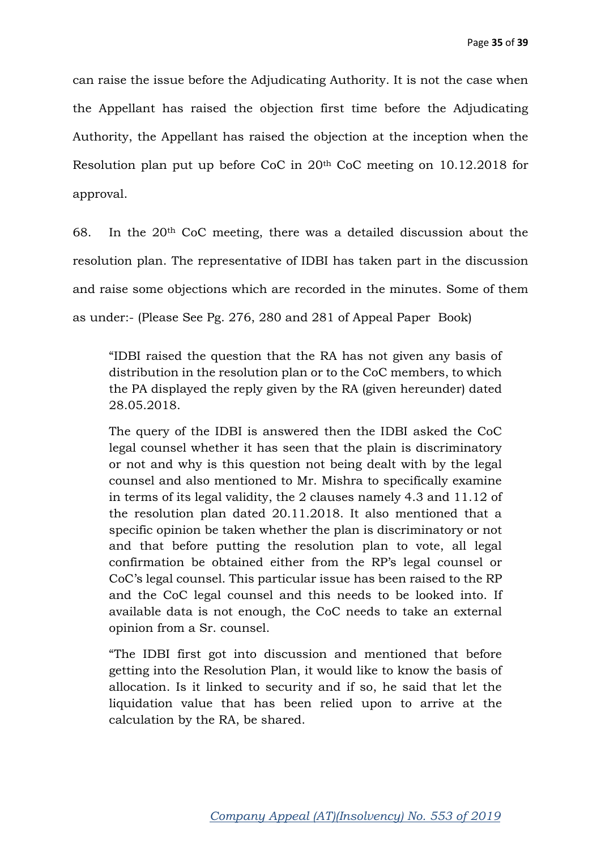can raise the issue before the Adjudicating Authority. It is not the case when the Appellant has raised the objection first time before the Adjudicating Authority, the Appellant has raised the objection at the inception when the Resolution plan put up before CoC in 20th CoC meeting on 10.12.2018 for approval.

68. In the  $20<sup>th</sup>$  CoC meeting, there was a detailed discussion about the resolution plan. The representative of IDBI has taken part in the discussion and raise some objections which are recorded in the minutes. Some of them as under:- (Please See Pg. 276, 280 and 281 of Appeal Paper Book)

"IDBI raised the question that the RA has not given any basis of distribution in the resolution plan or to the CoC members, to which the PA displayed the reply given by the RA (given hereunder) dated 28.05.2018.

The query of the IDBI is answered then the IDBI asked the CoC legal counsel whether it has seen that the plain is discriminatory or not and why is this question not being dealt with by the legal counsel and also mentioned to Mr. Mishra to specifically examine in terms of its legal validity, the 2 clauses namely 4.3 and 11.12 of the resolution plan dated 20.11.2018. It also mentioned that a specific opinion be taken whether the plan is discriminatory or not and that before putting the resolution plan to vote, all legal confirmation be obtained either from the RP's legal counsel or CoC's legal counsel. This particular issue has been raised to the RP and the CoC legal counsel and this needs to be looked into. If available data is not enough, the CoC needs to take an external opinion from a Sr. counsel.

"The IDBI first got into discussion and mentioned that before getting into the Resolution Plan, it would like to know the basis of allocation. Is it linked to security and if so, he said that let the liquidation value that has been relied upon to arrive at the calculation by the RA, be shared.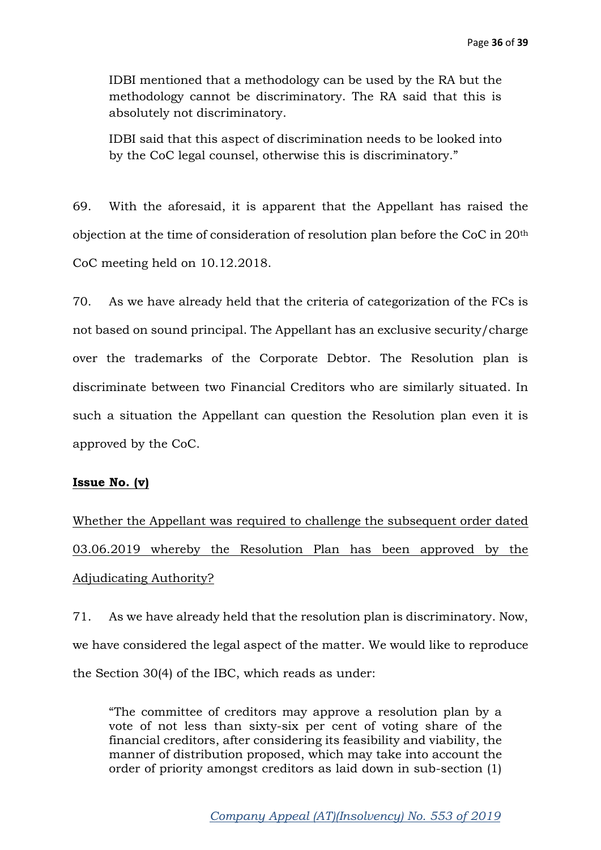IDBI mentioned that a methodology can be used by the RA but the methodology cannot be discriminatory. The RA said that this is absolutely not discriminatory.

IDBI said that this aspect of discrimination needs to be looked into by the CoC legal counsel, otherwise this is discriminatory."

69. With the aforesaid, it is apparent that the Appellant has raised the objection at the time of consideration of resolution plan before the CoC in 20th CoC meeting held on 10.12.2018.

70. As we have already held that the criteria of categorization of the FCs is not based on sound principal. The Appellant has an exclusive security/charge over the trademarks of the Corporate Debtor. The Resolution plan is discriminate between two Financial Creditors who are similarly situated. In such a situation the Appellant can question the Resolution plan even it is approved by the CoC.

### **Issue No. (v)**

Whether the Appellant was required to challenge the subsequent order dated 03.06.2019 whereby the Resolution Plan has been approved by the Adjudicating Authority?

71. As we have already held that the resolution plan is discriminatory. Now, we have considered the legal aspect of the matter. We would like to reproduce the Section 30(4) of the IBC, which reads as under:

"The committee of creditors may approve a resolution plan by a vote of not less than sixty-six per cent of voting share of the financial creditors, after considering its feasibility and viability, the manner of distribution proposed, which may take into account the order of priority amongst creditors as laid down in sub-section (1)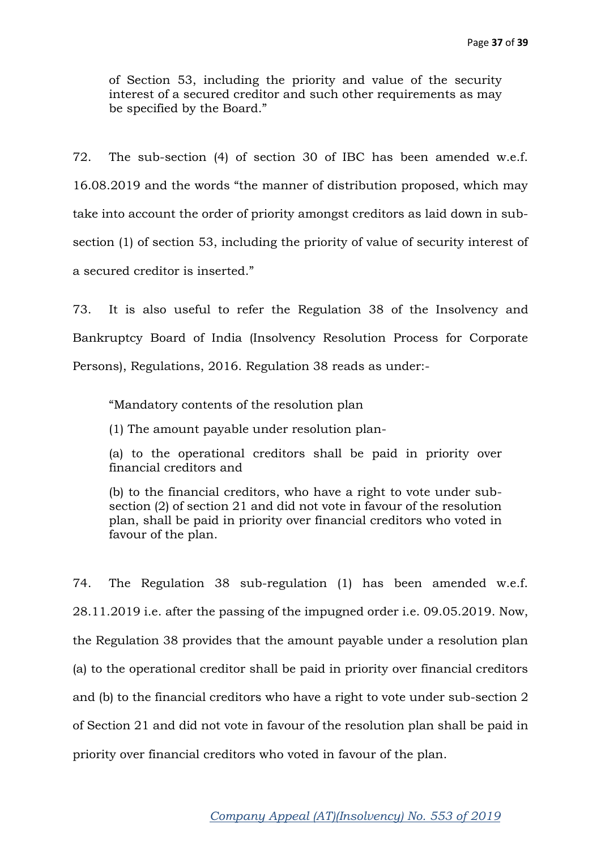of Section 53, including the priority and value of the security interest of a secured creditor and such other requirements as may be specified by the Board."

72. The sub-section (4) of section 30 of IBC has been amended w.e.f. 16.08.2019 and the words "the manner of distribution proposed, which may take into account the order of priority amongst creditors as laid down in subsection (1) of section 53, including the priority of value of security interest of a secured creditor is inserted."

73. It is also useful to refer the Regulation 38 of the Insolvency and Bankruptcy Board of India (Insolvency Resolution Process for Corporate Persons), Regulations, 2016. Regulation 38 reads as under:-

"Mandatory contents of the resolution plan

(1) The amount payable under resolution plan-

(a) to the operational creditors shall be paid in priority over financial creditors and

(b) to the financial creditors, who have a right to vote under subsection (2) of section 21 and did not vote in favour of the resolution plan, shall be paid in priority over financial creditors who voted in favour of the plan.

74. The Regulation 38 sub-regulation (1) has been amended w.e.f. 28.11.2019 i.e. after the passing of the impugned order i.e. 09.05.2019. Now, the Regulation 38 provides that the amount payable under a resolution plan (a) to the operational creditor shall be paid in priority over financial creditors and (b) to the financial creditors who have a right to vote under sub-section 2 of Section 21 and did not vote in favour of the resolution plan shall be paid in priority over financial creditors who voted in favour of the plan.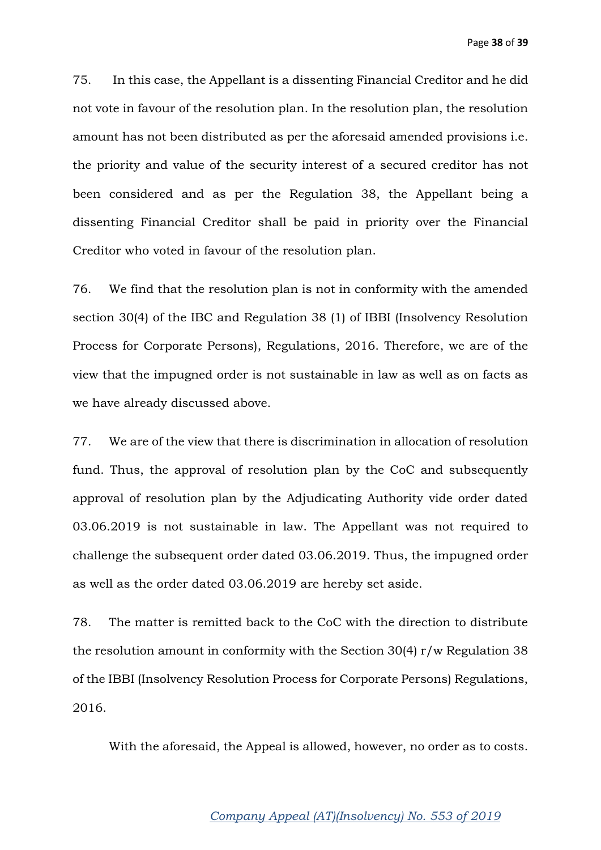75. In this case, the Appellant is a dissenting Financial Creditor and he did not vote in favour of the resolution plan. In the resolution plan, the resolution amount has not been distributed as per the aforesaid amended provisions i.e. the priority and value of the security interest of a secured creditor has not been considered and as per the Regulation 38, the Appellant being a dissenting Financial Creditor shall be paid in priority over the Financial Creditor who voted in favour of the resolution plan.

76. We find that the resolution plan is not in conformity with the amended section 30(4) of the IBC and Regulation 38 (1) of IBBI (Insolvency Resolution Process for Corporate Persons), Regulations, 2016. Therefore, we are of the view that the impugned order is not sustainable in law as well as on facts as we have already discussed above.

77. We are of the view that there is discrimination in allocation of resolution fund. Thus, the approval of resolution plan by the CoC and subsequently approval of resolution plan by the Adjudicating Authority vide order dated 03.06.2019 is not sustainable in law. The Appellant was not required to challenge the subsequent order dated 03.06.2019. Thus, the impugned order as well as the order dated 03.06.2019 are hereby set aside.

78. The matter is remitted back to the CoC with the direction to distribute the resolution amount in conformity with the Section 30(4) r/w Regulation 38 of the IBBI (Insolvency Resolution Process for Corporate Persons) Regulations, 2016.

With the aforesaid, the Appeal is allowed, however, no order as to costs.